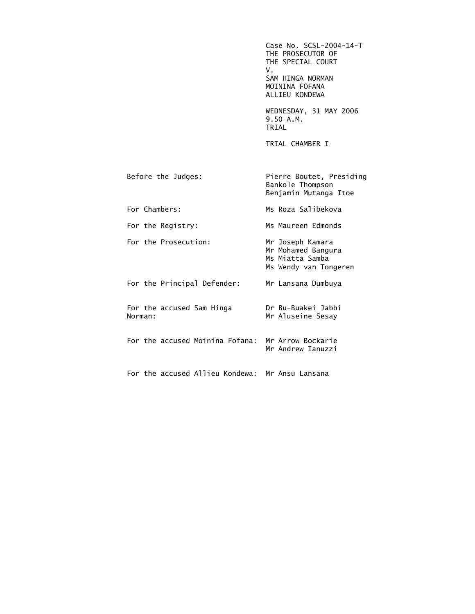Case No. SCSL-2004-14-T THE PROSECUTOR OF THE SPECIAL COURT V. SAM HINGA NORMAN MOININA FOFANA ALLIEU KONDEWA WEDNESDAY, 31 MAY 2006 9.50 A.M. TRIAL TRIAL CHAMBER I Before the Judges: Pierre Boutet, Presiding Bankole Thompson Benjamin Mutanga Itoe For Chambers: Ms Roza Salibekova For the Registry: Ms Maureen Edmonds For the Prosecution: Mr Joseph Kamara Mr Mohamed Bangura Ms Miatta Samba Ms Wendy van Tongeren For the Principal Defender: Mr Lansana Dumbuya For the accused Sam Hinga Dr Bu-Buakei Jabbi Norman: Mr Aluseine Sesay

> For the accused Moinina Fofana: Mr Arrow Bockarie Mr Andrew Ianuzzi

For the accused Allieu Kondewa: Mr Ansu Lansana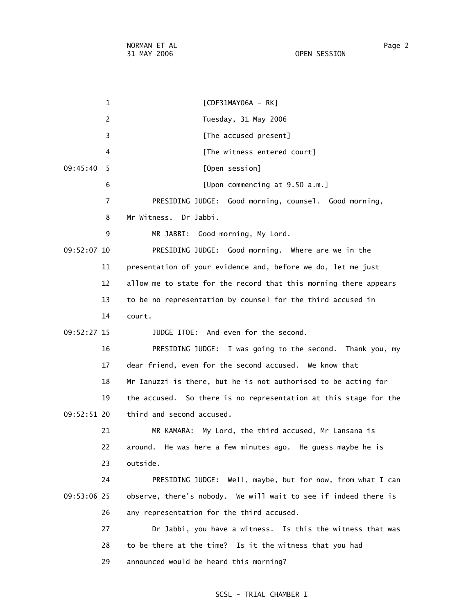1 [CDF31MAY06A - RK] 2 Tuesday, 31 May 2006 3 **Example 2 [The accused present]** 4 [The witness entered court] 09:45:40 5 [Open session] 6 [Upon commencing at 9.50 a.m.] 7 PRESIDING JUDGE: Good morning, counsel. Good morning, 8 Mr Witness. Dr Jabbi. 9 MR JABBI: Good morning, My Lord. 09:52:07 10 PRESIDING JUDGE: Good morning. Where are we in the 11 presentation of your evidence and, before we do, let me just 12 allow me to state for the record that this morning there appears 13 to be no representation by counsel for the third accused in 14 court. 09:52:27 15 JUDGE ITOE: And even for the second. 16 PRESIDING JUDGE: I was going to the second. Thank you, my 17 dear friend, even for the second accused. We know that 18 Mr Ianuzzi is there, but he is not authorised to be acting for 19 the accused. So there is no representation at this stage for the 09:52:51 20 third and second accused. 21 MR KAMARA: My Lord, the third accused, Mr Lansana is 22 around. He was here a few minutes ago. He guess maybe he is 23 outside. 24 PRESIDING JUDGE: Well, maybe, but for now, from what I can 09:53:06 25 observe, there's nobody. We will wait to see if indeed there is 26 any representation for the third accused. 27 Dr Jabbi, you have a witness. Is this the witness that was 28 to be there at the time? Is it the witness that you had 29 announced would be heard this morning?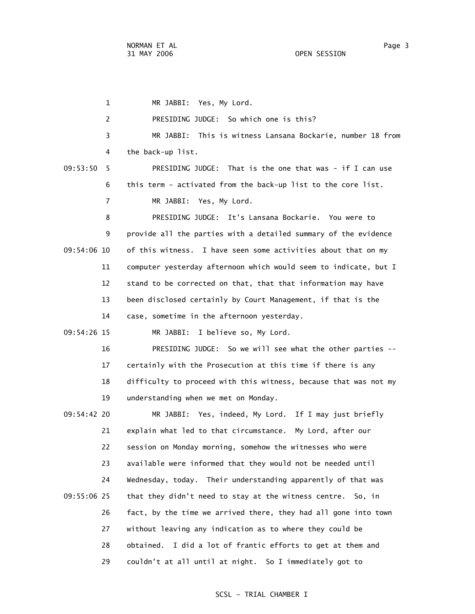1 MR JABBI: Yes, My Lord. 2 PRESIDING JUDGE: So which one is this? 3 MR JABBI: This is witness Lansana Bockarie, number 18 from 4 the back-up list. 09:53:50 5 PRESIDING JUDGE: That is the one that was - if I can use 6 this term - activated from the back-up list to the core list. 7 MR JABBI: Yes, My Lord. 8 PRESIDING JUDGE: It's Lansana Bockarie. You were to 9 provide all the parties with a detailed summary of the evidence 09:54:06 10 of this witness. I have seen some activities about that on my 11 computer yesterday afternoon which would seem to indicate, but I 12 stand to be corrected on that, that that information may have 13 been disclosed certainly by Court Management, if that is the 14 case, sometime in the afternoon yesterday. 09:54:26 15 MR JABBI: I believe so, My Lord. 16 PRESIDING JUDGE: So we will see what the other parties -- 17 certainly with the Prosecution at this time if there is any 18 difficulty to proceed with this witness, because that was not my 19 understanding when we met on Monday. 09:54:42 20 MR JABBI: Yes, indeed, My Lord. If I may just briefly 21 explain what led to that circumstance. My Lord, after our 22 session on Monday morning, somehow the witnesses who were 23 available were informed that they would not be needed until 24 Wednesday, today. Their understanding apparently of that was 09:55:06 25 that they didn't need to stay at the witness centre. So, in 26 fact, by the time we arrived there, they had all gone into town 27 without leaving any indication as to where they could be 28 obtained. I did a lot of frantic efforts to get at them and 29 couldn't at all until at night. So I immediately got to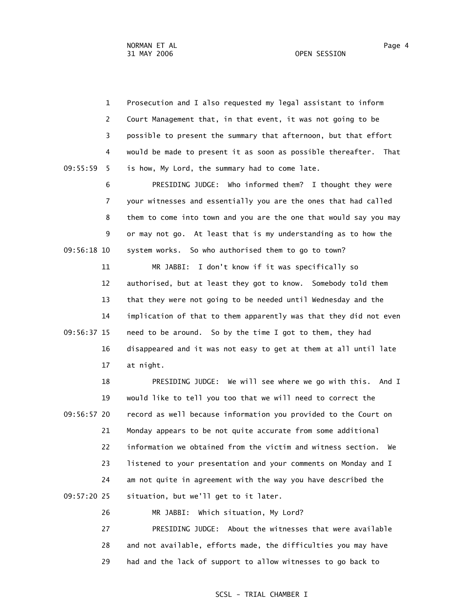1 Prosecution and I also requested my legal assistant to inform 2 Court Management that, in that event, it was not going to be 3 possible to present the summary that afternoon, but that effort 4 would be made to present it as soon as possible thereafter. That 09:55:59 5 is how, My Lord, the summary had to come late. 6 PRESIDING JUDGE: Who informed them? I thought they were

 7 your witnesses and essentially you are the ones that had called 8 them to come into town and you are the one that would say you may 9 or may not go. At least that is my understanding as to how the 09:56:18 10 system works. So who authorised them to go to town?

 11 MR JABBI: I don't know if it was specifically so 12 authorised, but at least they got to know. Somebody told them 13 that they were not going to be needed until Wednesday and the 14 implication of that to them apparently was that they did not even 09:56:37 15 need to be around. So by the time I got to them, they had 16 disappeared and it was not easy to get at them at all until late 17 at night.

 18 PRESIDING JUDGE: We will see where we go with this. And I 19 would like to tell you too that we will need to correct the 09:56:57 20 record as well because information you provided to the Court on 21 Monday appears to be not quite accurate from some additional 22 information we obtained from the victim and witness section. We 23 listened to your presentation and your comments on Monday and I 24 am not quite in agreement with the way you have described the 09:57:20 25 situation, but we'll get to it later.

26 MR JABBI: Which situation, My Lord?

 27 PRESIDING JUDGE: About the witnesses that were available 28 and not available, efforts made, the difficulties you may have 29 had and the lack of support to allow witnesses to go back to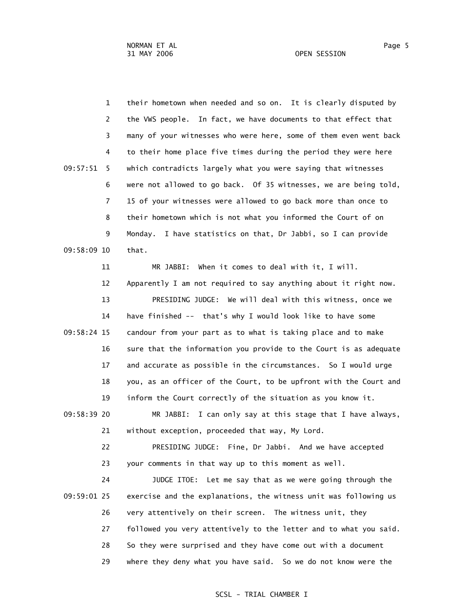1 their hometown when needed and so on. It is clearly disputed by 2 the VWS people. In fact, we have documents to that effect that 3 many of your witnesses who were here, some of them even went back 4 to their home place five times during the period they were here 09:57:51 5 which contradicts largely what you were saying that witnesses 6 were not allowed to go back. Of 35 witnesses, we are being told, 7 15 of your witnesses were allowed to go back more than once to 8 their hometown which is not what you informed the Court of on 9 Monday. I have statistics on that, Dr Jabbi, so I can provide 09:58:09 10 that. 11 MR JABBI: When it comes to deal with it, I will. 12 Apparently I am not required to say anything about it right now. 13 PRESIDING JUDGE: We will deal with this witness, once we 14 have finished -- that's why I would look like to have some 09:58:24 15 candour from your part as to what is taking place and to make 16 sure that the information you provide to the Court is as adequate 17 and accurate as possible in the circumstances. So I would urge 18 you, as an officer of the Court, to be upfront with the Court and 19 inform the Court correctly of the situation as you know it. 09:58:39 20 MR JABBI: I can only say at this stage that I have always, 21 without exception, proceeded that way, My Lord. 22 PRESIDING JUDGE: Fine, Dr Jabbi. And we have accepted 23 your comments in that way up to this moment as well. 24 JUDGE ITOE: Let me say that as we were going through the 09:59:01 25 exercise and the explanations, the witness unit was following us 26 very attentively on their screen. The witness unit, they

> 27 followed you very attentively to the letter and to what you said. 28 So they were surprised and they have come out with a document

29 where they deny what you have said. So we do not know were the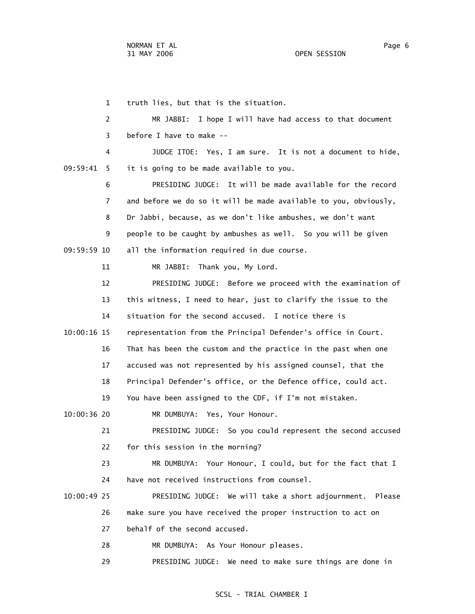1 truth lies, but that is the situation. 2 MR JABBI: I hope I will have had access to that document 3 before I have to make -- 4 JUDGE ITOE: Yes, I am sure. It is not a document to hide, 09:59:41 5 it is going to be made available to you. 6 PRESIDING JUDGE: It will be made available for the record 7 and before we do so it will be made available to you, obviously, 8 Dr Jabbi, because, as we don't like ambushes, we don't want 9 people to be caught by ambushes as well. So you will be given 09:59:59 10 all the information required in due course. 11 MR JABBI: Thank you, My Lord. 12 PRESIDING JUDGE: Before we proceed with the examination of 13 this witness, I need to hear, just to clarify the issue to the 14 situation for the second accused. I notice there is 10:00:16 15 representation from the Principal Defender's office in Court. 16 That has been the custom and the practice in the past when one 17 accused was not represented by his assigned counsel, that the 18 Principal Defender's office, or the Defence office, could act. 19 You have been assigned to the CDF, if I'm not mistaken. 10:00:36 20 MR DUMBUYA: Yes, Your Honour. 21 PRESIDING JUDGE: So you could represent the second accused 22 for this session in the morning? 23 MR DUMBUYA: Your Honour, I could, but for the fact that I 24 have not received instructions from counsel. 10:00:49 25 PRESIDING JUDGE: We will take a short adjournment. Please 26 make sure you have received the proper instruction to act on 27 behalf of the second accused. 28 MR DUMBUYA: As Your Honour pleases. 29 PRESIDING JUDGE: We need to make sure things are done in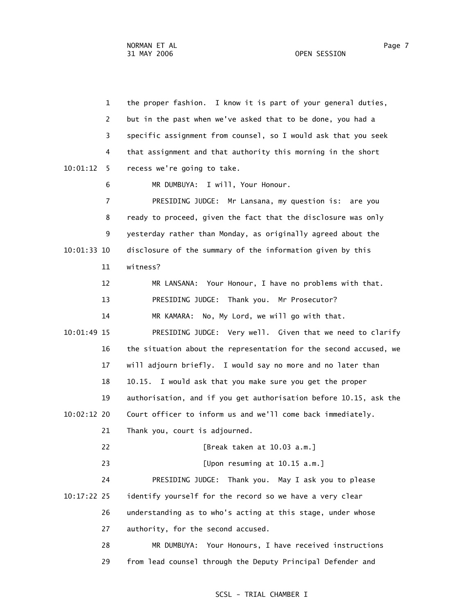1 the proper fashion. I know it is part of your general duties, 2 but in the past when we've asked that to be done, you had a 3 specific assignment from counsel, so I would ask that you seek 4 that assignment and that authority this morning in the short 10:01:12 5 recess we're going to take. 6 MR DUMBUYA: I will, Your Honour. 7 PRESIDING JUDGE: Mr Lansana, my question is: are you 8 ready to proceed, given the fact that the disclosure was only 9 yesterday rather than Monday, as originally agreed about the 10:01:33 10 disclosure of the summary of the information given by this 11 witness? 12 MR LANSANA: Your Honour, I have no problems with that. 13 PRESIDING JUDGE: Thank you. Mr Prosecutor? 14 MR KAMARA: No, My Lord, we will go with that. 10:01:49 15 PRESIDING JUDGE: Very well. Given that we need to clarify 16 the situation about the representation for the second accused, we 17 will adjourn briefly. I would say no more and no later than 18 10.15. I would ask that you make sure you get the proper 19 authorisation, and if you get authorisation before 10.15, ask the 10:02:12 20 Court officer to inform us and we'll come back immediately. 21 Thank you, court is adjourned. 22 [Break taken at 10.03 a.m.] 23 [Upon resuming at 10.15 a.m.] 24 PRESIDING JUDGE: Thank you. May I ask you to please 10:17:22 25 identify yourself for the record so we have a very clear 26 understanding as to who's acting at this stage, under whose 27 authority, for the second accused. 28 MR DUMBUYA: Your Honours, I have received instructions 29 from lead counsel through the Deputy Principal Defender and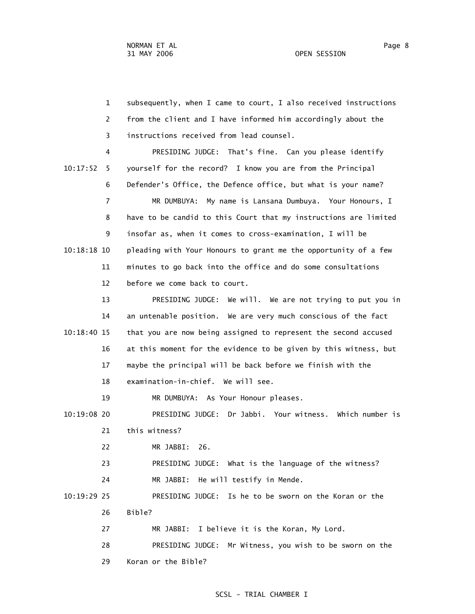1 subsequently, when I came to court, I also received instructions 2 from the client and I have informed him accordingly about the 3 instructions received from lead counsel. 4 PRESIDING JUDGE: That's fine. Can you please identify 10:17:52 5 yourself for the record? I know you are from the Principal 6 Defender's Office, the Defence office, but what is your name? 7 MR DUMBUYA: My name is Lansana Dumbuya. Your Honours, I 8 have to be candid to this Court that my instructions are limited 9 insofar as, when it comes to cross-examination, I will be 10:18:18 10 pleading with Your Honours to grant me the opportunity of a few 11 minutes to go back into the office and do some consultations 12 before we come back to court. 13 PRESIDING JUDGE: We will. We are not trying to put you in 14 an untenable position. We are very much conscious of the fact 10:18:40 15 that you are now being assigned to represent the second accused 16 at this moment for the evidence to be given by this witness, but 17 maybe the principal will be back before we finish with the 18 examination-in-chief. We will see. 19 MR DUMBUYA: As Your Honour pleases. 10:19:08 20 PRESIDING JUDGE: Dr Jabbi. Your witness. Which number is 21 this witness? 22 MR JABBI: 26. 23 PRESIDING JUDGE: What is the language of the witness? 24 MR JABBI: He will testify in Mende. 10:19:29 25 PRESIDING JUDGE: Is he to be sworn on the Koran or the 26 Bible? 27 MR JABBI: I believe it is the Koran, My Lord. 28 PRESIDING JUDGE: Mr Witness, you wish to be sworn on the 29 Koran or the Bible?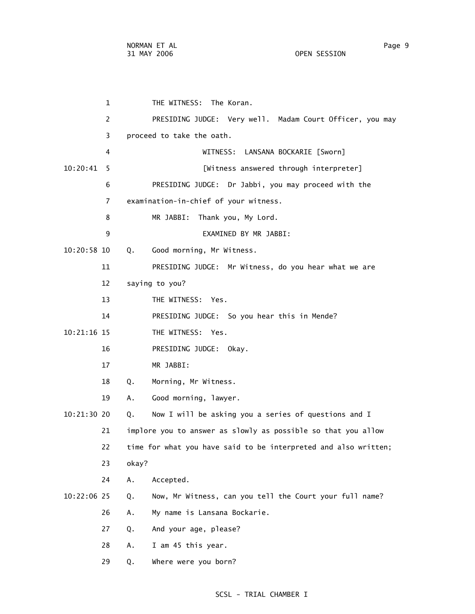1 THE WITNESS: The Koran. 2 PRESIDING JUDGE: Very well. Madam Court Officer, you may 3 proceed to take the oath. 4 WITNESS: LANSANA BOCKARIE [Sworn] 10:20:41 5 [Witness answered through interpreter] 6 PRESIDING JUDGE: Dr Jabbi, you may proceed with the 7 examination-in-chief of your witness. 8 MR JABBI: Thank you, My Lord. 9 EXAMINED BY MR JABBI: 10:20:58 10 Q. Good morning, Mr Witness. 11 PRESIDING JUDGE: Mr Witness, do you hear what we are 12 saying to you? 13 THE WITNESS: Yes. 14 PRESIDING JUDGE: So you hear this in Mende? 10:21:16 15 THE WITNESS: Yes. 16 PRESIDING JUDGE: Okay. 17 MR JABBI: 18 Q. Morning, Mr Witness. 19 A. Good morning, lawyer. 10:21:30 20 Q. Now I will be asking you a series of questions and I 21 implore you to answer as slowly as possible so that you allow 22 time for what you have said to be interpreted and also written; 23 okay? 24 A. Accepted. 10:22:06 25 Q. Now, Mr Witness, can you tell the Court your full name? 26 A. My name is Lansana Bockarie. 27 Q. And your age, please? 28 A. I am 45 this year. 29 Q. Where were you born?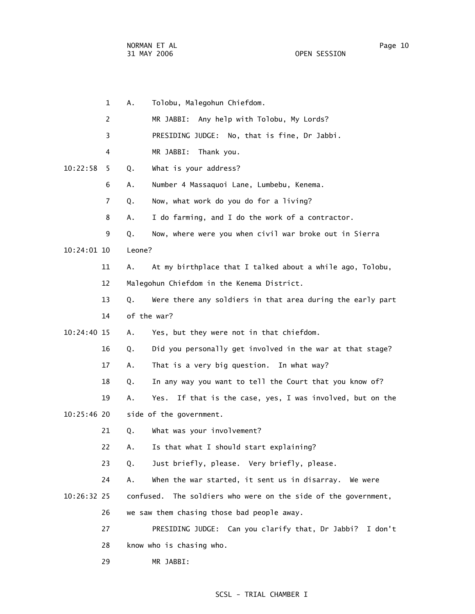| 1              | Tolobu, Malegohun Chiefdom.<br>Α.                                  |
|----------------|--------------------------------------------------------------------|
| 2              | Any help with Tolobu, My Lords?<br>MR JABBI:                       |
| 3              | PRESIDING JUDGE: No, that is fine, Dr Jabbi.                       |
| 4              | MR JABBI:<br>Thank you.                                            |
| 10:22:58<br>5. | What is your address?<br>Q.                                        |
| 6              | Number 4 Massaquoi Lane, Lumbebu, Kenema.<br>Α.                    |
| 7              | Now, what work do you do for a living?<br>Q.                       |
| 8              | I do farming, and I do the work of a contractor.<br>Α.             |
| 9              | Now, where were you when civil war broke out in Sierra<br>Q.       |
| 10:24:01 10    | Leone?                                                             |
| 11             | At my birthplace that I talked about a while ago, Tolobu,<br>Α.    |
| 12             | Malegohun Chiefdom in the Kenema District.                         |
| 13             | Were there any soldiers in that area during the early part<br>Q.   |
| 14             | of the war?                                                        |
| 10:24:40 15    | Yes, but they were not in that chiefdom.<br>Α.                     |
| 16             | Did you personally get involved in the war at that stage?<br>Q.    |
| 17             | That is a very big question. In what way?<br>Α.                    |
| 18             | In any way you want to tell the Court that you know of?<br>Q.      |
| 19             | If that is the case, yes, I was involved, but on the<br>Α.<br>Yes. |
| 10:25:46 20    | side of the government.                                            |
| 21             | What was your involvement?<br>Q.                                   |
| 22             | Is that what I should start explaining?<br>Α.                      |
| 23             | Just briefly, please. Very briefly, please.<br>Q.                  |
| 24             | When the war started, it sent us in disarray. We were<br>Α.        |
| 10:26:32 25    | The soldiers who were on the side of the government,<br>confused.  |
| 26             | we saw them chasing those bad people away.                         |
| 27             | PRESIDING JUDGE: Can you clarify that, Dr Jabbi? I don't           |
| 28             | know who is chasing who.                                           |
| 29             | MR JABBI:                                                          |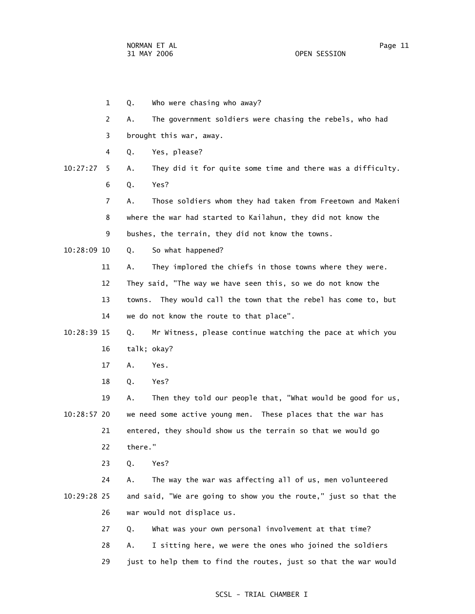1 Q. Who were chasing who away? 2 A. The government soldiers were chasing the rebels, who had 3 brought this war, away. 4 Q. Yes, please? 10:27:27 5 A. They did it for quite some time and there was a difficulty. 6 Q. Yes? 7 A. Those soldiers whom they had taken from Freetown and Makeni 8 where the war had started to Kailahun, they did not know the 9 bushes, the terrain, they did not know the towns. 10:28:09 10 Q. So what happened? 11 A. They implored the chiefs in those towns where they were. 12 They said, "The way we have seen this, so we do not know the 13 towns. They would call the town that the rebel has come to, but 14 we do not know the route to that place". 10:28:39 15 Q. Mr Witness, please continue watching the pace at which you 16 talk; okay? 17 A. Yes. 18 Q. Yes? 19 A. Then they told our people that, "What would be good for us, 10:28:57 20 we need some active young men. These places that the war has 21 entered, they should show us the terrain so that we would go 22 there." 23 Q. Yes? 24 A. The way the war was affecting all of us, men volunteered 10:29:28 25 and said, "We are going to show you the route," just so that the 26 war would not displace us. 27 Q. What was your own personal involvement at that time? 28 A. I sitting here, we were the ones who joined the soldiers 29 just to help them to find the routes, just so that the war would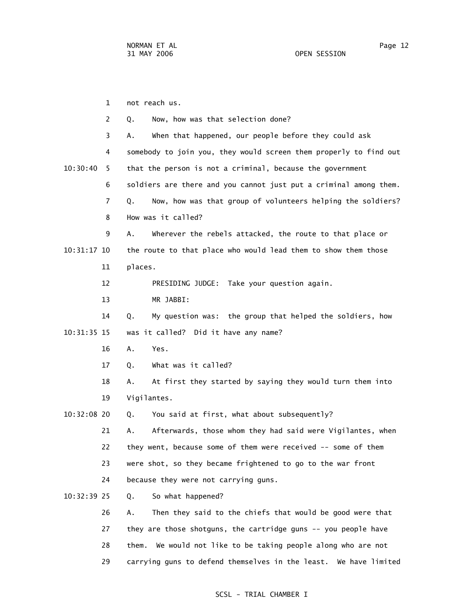1 not reach us. 2 Q. Now, how was that selection done? 3 A. When that happened, our people before they could ask 4 somebody to join you, they would screen them properly to find out 10:30:40 5 that the person is not a criminal, because the government 6 soldiers are there and you cannot just put a criminal among them. 7 Q. Now, how was that group of volunteers helping the soldiers? 8 How was it called? 9 A. Wherever the rebels attacked, the route to that place or 10:31:17 10 the route to that place who would lead them to show them those 11 places. 12 PRESIDING JUDGE: Take your question again. 13 MR JABBI: 14 Q. My question was: the group that helped the soldiers, how 10:31:35 15 was it called? Did it have any name? 16 A. Yes. 17 Q. What was it called? 18 A. At first they started by saying they would turn them into 19 Vigilantes. 10:32:08 20 Q. You said at first, what about subsequently? 21 A. Afterwards, those whom they had said were Vigilantes, when 22 they went, because some of them were received -- some of them 23 were shot, so they became frightened to go to the war front 24 because they were not carrying guns. 10:32:39 25 Q. So what happened? 26 A. Then they said to the chiefs that would be good were that 27 they are those shotguns, the cartridge guns -- you people have 28 them. We would not like to be taking people along who are not 29 carrying guns to defend themselves in the least. We have limited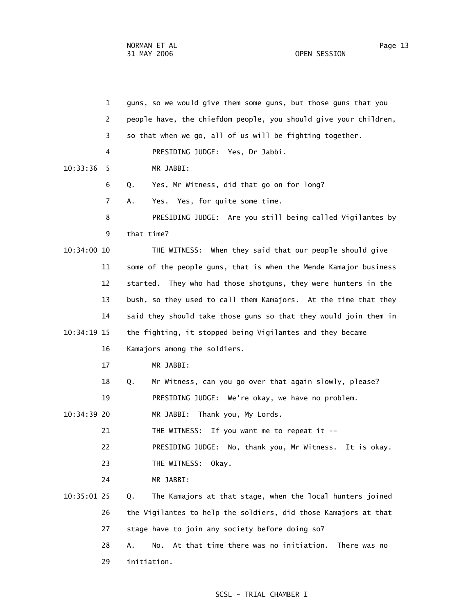|             | 1  | guns, so we would give them some guns, but those guns that you     |
|-------------|----|--------------------------------------------------------------------|
|             | 2  | people have, the chiefdom people, you should give your children,   |
|             | 3  | so that when we go, all of us will be fighting together.           |
|             | 4  | PRESIDING JUDGE: Yes, Dr Jabbi.                                    |
| 10:33:36    | 5  | MR JABBI:                                                          |
|             | 6  | Yes, Mr Witness, did that go on for long?<br>Q.                    |
|             | 7  | Yes. Yes, for quite some time.<br>Α.                               |
|             | 8  | PRESIDING JUDGE: Are you still being called Vigilantes by          |
|             | 9  | that time?                                                         |
| 10:34:00 10 |    | THE WITNESS: When they said that our people should give            |
|             | 11 | some of the people guns, that is when the Mende Kamajor business   |
|             | 12 | started. They who had those shotguns, they were hunters in the     |
|             | 13 | bush, so they used to call them Kamajors. At the time that they    |
|             | 14 | said they should take those guns so that they would join them in   |
| 10:34:19 15 |    | the fighting, it stopped being Vigilantes and they became          |
|             | 16 | Kamajors among the soldiers.                                       |
|             | 17 | MR JABBI:                                                          |
|             | 18 | Mr Witness, can you go over that again slowly, please?<br>Q.       |
|             | 19 | PRESIDING JUDGE: We're okay, we have no problem.                   |
| 10:34:39 20 |    | Thank you, My Lords.<br>MR JABBI:                                  |
|             | 21 | If you want me to repeat it --<br>THE WITNESS:                     |
|             | 22 | PRESIDING JUDGE: No, thank you, Mr Witness. It is okay.            |
|             | 23 | THE WITNESS:<br>Okay.                                              |
|             | 24 | MR JABBI:                                                          |
| 10:35:01 25 |    | The Kamajors at that stage, when the local hunters joined<br>Q.    |
|             | 26 | the Vigilantes to help the soldiers, did those Kamajors at that    |
|             | 27 | stage have to join any society before doing so?                    |
|             | 28 | At that time there was no initiation.<br>Α.<br>No.<br>There was no |
|             | 29 | initiation.                                                        |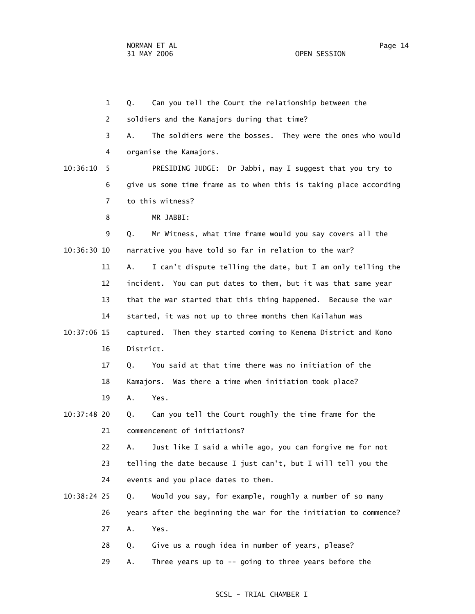1 Q. Can you tell the Court the relationship between the 2 soldiers and the Kamajors during that time? 3 A. The soldiers were the bosses. They were the ones who would 4 organise the Kamajors. 10:36:10 5 PRESIDING JUDGE: Dr Jabbi, may I suggest that you try to 6 give us some time frame as to when this is taking place according 7 to this witness? 8 MR JABBI: 9 Q. Mr Witness, what time frame would you say covers all the 10:36:30 10 narrative you have told so far in relation to the war? 11 A. I can't dispute telling the date, but I am only telling the 12 incident. You can put dates to them, but it was that same year 13 that the war started that this thing happened. Because the war 14 started, it was not up to three months then Kailahun was 10:37:06 15 captured. Then they started coming to Kenema District and Kono 16 District. 17 Q. You said at that time there was no initiation of the 18 Kamajors. Was there a time when initiation took place? 19 A. Yes. 10:37:48 20 Q. Can you tell the Court roughly the time frame for the 21 commencement of initiations? 22 A. Just like I said a while ago, you can forgive me for not 23 telling the date because I just can't, but I will tell you the 24 events and you place dates to them. 10:38:24 25 Q. Would you say, for example, roughly a number of so many 26 years after the beginning the war for the initiation to commence? 27 A. Yes. 28 Q. Give us a rough idea in number of years, please? 29 A. Three years up to -- going to three years before the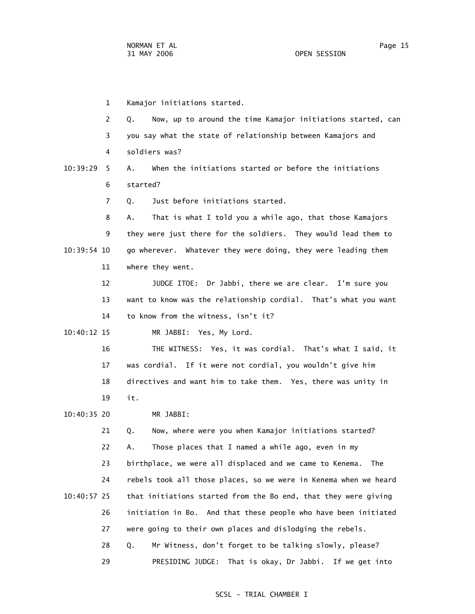1 Kamajor initiations started. 2 Q. Now, up to around the time Kamajor initiations started, can 3 you say what the state of relationship between Kamajors and 4 soldiers was? 10:39:29 5 A. When the initiations started or before the initiations 6 started? 7 Q. Just before initiations started. 8 A. That is what I told you a while ago, that those Kamajors 9 they were just there for the soldiers. They would lead them to 10:39:54 10 go wherever. Whatever they were doing, they were leading them 11 where they went. 12 JUDGE ITOE: Dr Jabbi, there we are clear. I'm sure you 13 want to know was the relationship cordial. That's what you want 14 to know from the witness, isn't it? 10:40:12 15 MR JABBI: Yes, My Lord. 16 THE WITNESS: Yes, it was cordial. That's what I said, it 17 was cordial. If it were not cordial, you wouldn't give him 18 directives and want him to take them. Yes, there was unity in 19 it. 10:40:35 20 MR JABBI: 21 Q. Now, where were you when Kamajor initiations started? 22 A. Those places that I named a while ago, even in my 23 birthplace, we were all displaced and we came to Kenema. The 24 rebels took all those places, so we were in Kenema when we heard 10:40:57 25 that initiations started from the Bo end, that they were giving 26 initiation in Bo. And that these people who have been initiated 27 were going to their own places and dislodging the rebels. 28 Q. Mr Witness, don't forget to be talking slowly, please? 29 PRESIDING JUDGE: That is okay, Dr Jabbi. If we get into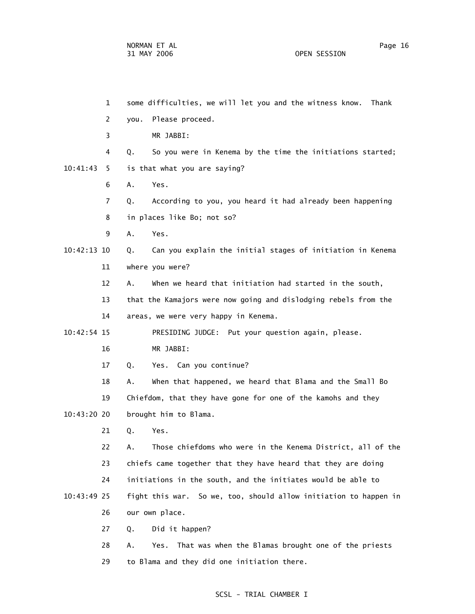1 some difficulties, we will let you and the witness know. Thank 2 you. Please proceed. 3 MR JABBI: 4 Q. So you were in Kenema by the time the initiations started; 10:41:43 5 is that what you are saying? 6 A. Yes. 7 Q. According to you, you heard it had already been happening 8 in places like Bo; not so? 9 A. Yes. 10:42:13 10 Q. Can you explain the initial stages of initiation in Kenema 11 where you were? 12 A. When we heard that initiation had started in the south, 13 that the Kamajors were now going and dislodging rebels from the 14 areas, we were very happy in Kenema. 10:42:54 15 PRESIDING JUDGE: Put your question again, please. 16 MR JABBI: 17 Q. Yes. Can you continue? 18 A. When that happened, we heard that Blama and the Small Bo 19 Chiefdom, that they have gone for one of the kamohs and they 10:43:20 20 brought him to Blama. 21 Q. Yes. 22 A. Those chiefdoms who were in the Kenema District, all of the 23 chiefs came together that they have heard that they are doing 24 initiations in the south, and the initiates would be able to 10:43:49 25 fight this war. So we, too, should allow initiation to happen in 26 our own place. 27 Q. Did it happen? 28 A. Yes. That was when the Blamas brought one of the priests

29 to Blama and they did one initiation there.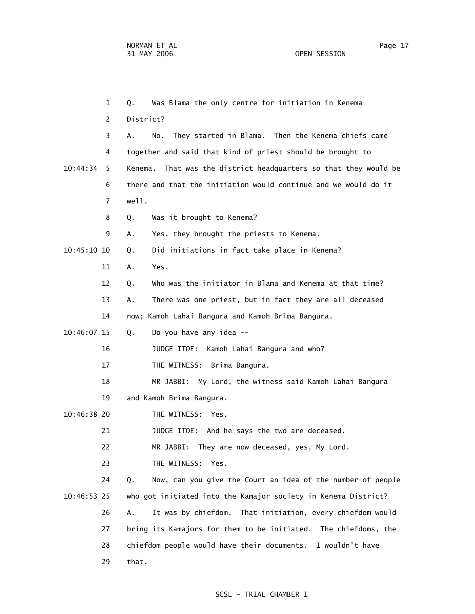1 Q. Was Blama the only centre for initiation in Kenema 2 District? 3 A. No. They started in Blama. Then the Kenema chiefs came 4 together and said that kind of priest should be brought to 10:44:34 5 Kenema. That was the district headquarters so that they would be 6 there and that the initiation would continue and we would do it 7 well. 8 Q. Was it brought to Kenema? 9 A. Yes, they brought the priests to Kenema. 10:45:10 10 Q. Did initiations in fact take place in Kenema? 11 A. Yes. 12 Q. Who was the initiator in Blama and Kenema at that time? 13 A. There was one priest, but in fact they are all deceased 14 now; Kamoh Lahai Bangura and Kamoh Brima Bangura. 10:46:07 15 Q. Do you have any idea -- 16 JUDGE ITOE: Kamoh Lahai Bangura and who? 17 THE WITNESS: Brima Bangura. 18 MR JABBI: My Lord, the witness said Kamoh Lahai Bangura 19 and Kamoh Brima Bangura. 10:46:38 20 THE WITNESS: Yes. 21 JUDGE ITOE: And he says the two are deceased. 22 MR JABBI: They are now deceased, yes, My Lord. 23 THE WITNESS: Yes. 24 Q. Now, can you give the Court an idea of the number of people 10:46:53 25 who got initiated into the Kamajor society in Kenema District? 26 A. It was by chiefdom. That initiation, every chiefdom would 27 bring its Kamajors for them to be initiated. The chiefdoms, the 28 chiefdom people would have their documents. I wouldn't have 29 that.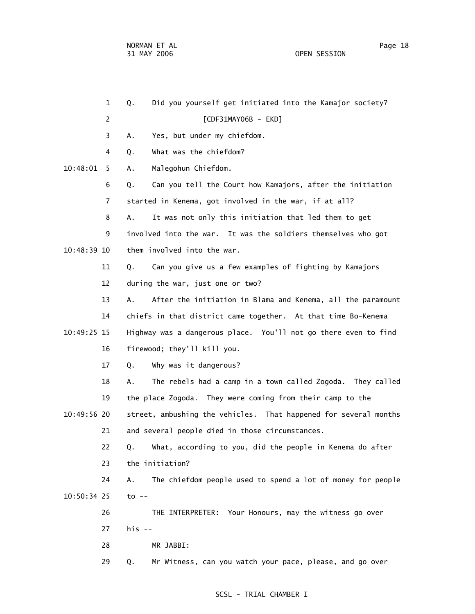1 Q. Did you yourself get initiated into the Kamajor society? 2 [CDF31MAY06B - EKD] 3 A. Yes, but under my chiefdom. 4 Q. What was the chiefdom? 10:48:01 5 A. Malegohun Chiefdom. 6 Q. Can you tell the Court how Kamajors, after the initiation 7 started in Kenema, got involved in the war, if at all? 8 A. It was not only this initiation that led them to get 9 involved into the war. It was the soldiers themselves who got 10:48:39 10 them involved into the war. 11 Q. Can you give us a few examples of fighting by Kamajors 12 during the war, just one or two? 13 A. After the initiation in Blama and Kenema, all the paramount 14 chiefs in that district came together. At that time Bo-Kenema 10:49:25 15 Highway was a dangerous place. You'll not go there even to find 16 firewood; they'll kill you. 17 Q. Why was it dangerous? 18 A. The rebels had a camp in a town called Zogoda. They called 19 the place Zogoda. They were coming from their camp to the 10:49:56 20 street, ambushing the vehicles. That happened for several months 21 and several people died in those circumstances. 22 Q. What, according to you, did the people in Kenema do after 23 the initiation? 24 A. The chiefdom people used to spend a lot of money for people 10:50:34 25 to -- 26 THE INTERPRETER: Your Honours, may the witness go over 27 his -- 28 MR JABBI: 29 Q. Mr Witness, can you watch your pace, please, and go over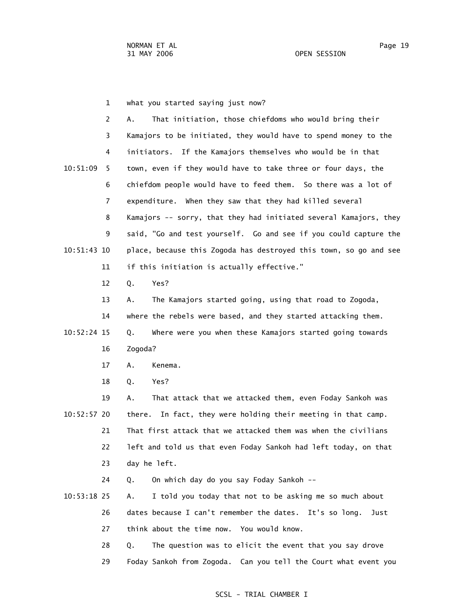1 what you started saying just now?

|               | 2  | That initiation, those chiefdoms who would bring their<br>Α.      |
|---------------|----|-------------------------------------------------------------------|
|               | 3  | Kamajors to be initiated, they would have to spend money to the   |
|               | 4  | initiators. If the Kamajors themselves who would be in that       |
| 10:51:09      | 5  | town, even if they would have to take three or four days, the     |
|               | 6  | chiefdom people would have to feed them. So there was a lot of    |
|               | 7  | expenditure. When they saw that they had killed several           |
|               | 8  | Kamajors -- sorry, that they had initiated several Kamajors, they |
|               | 9  | said, "Go and test yourself. Go and see if you could capture the  |
| 10:51:43 10   |    | place, because this Zogoda has destroyed this town, so go and see |
|               | 11 | if this initiation is actually effective."                        |
|               | 12 | Q.<br>Yes?                                                        |
|               | 13 | The Kamajors started going, using that road to Zogoda,<br>Α.      |
|               | 14 | where the rebels were based, and they started attacking them.     |
| $10:52:24$ 15 |    | Where were you when these Kamajors started going towards<br>Q.    |
|               | 16 | Zogoda?                                                           |
|               | 17 | Α.<br>Kenema.                                                     |
|               | 18 | Yes?<br>Q.                                                        |
|               | 19 | That attack that we attacked them, even Foday Sankoh was<br>Α.    |
| $10:52:57$ 20 |    | In fact, they were holding their meeting in that camp.<br>there.  |
|               | 21 | That first attack that we attacked them was when the civilians    |
|               | 22 | left and told us that even Foday Sankoh had left today, on that   |
|               | 23 | day he left.                                                      |
|               | 24 | On which day do you say Foday Sankoh --<br>Q.                     |
| $10:53:18$ 25 |    | I told you today that not to be asking me so much about<br>Α.     |
|               | 26 | dates because I can't remember the dates. It's so long.<br>Just   |
|               | 27 | think about the time now.<br>You would know.                      |
|               | 28 | The question was to elicit the event that you say drove<br>Q.     |

29 Foday Sankoh from Zogoda. Can you tell the Court what event you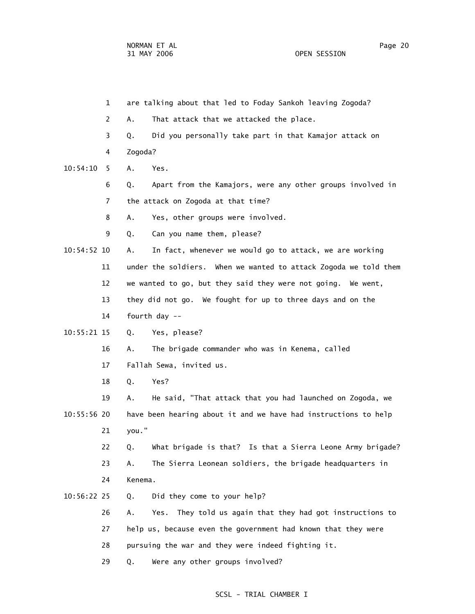1 are talking about that led to Foday Sankoh leaving Zogoda? 2 A. That attack that we attacked the place. 3 Q. Did you personally take part in that Kamajor attack on 4 Zogoda? 10:54:10 5 A. Yes. 6 Q. Apart from the Kamajors, were any other groups involved in 7 the attack on Zogoda at that time? 8 A. Yes, other groups were involved. 9 Q. Can you name them, please? 10:54:52 10 A. In fact, whenever we would go to attack, we are working 11 under the soldiers. When we wanted to attack Zogoda we told them 12 we wanted to go, but they said they were not going. We went, 13 they did not go. We fought for up to three days and on the 14 fourth day -- 10:55:21 15 Q. Yes, please? 16 A. The brigade commander who was in Kenema, called 17 Fallah Sewa, invited us. 18 Q. Yes? 19 A. He said, "That attack that you had launched on Zogoda, we 10:55:56 20 have been hearing about it and we have had instructions to help 21 you." 22 Q. What brigade is that? Is that a Sierra Leone Army brigade? 23 A. The Sierra Leonean soldiers, the brigade headquarters in 24 Kenema. 10:56:22 25 Q. Did they come to your help? 26 A. Yes. They told us again that they had got instructions to 27 help us, because even the government had known that they were 28 pursuing the war and they were indeed fighting it. 29 Q. Were any other groups involved?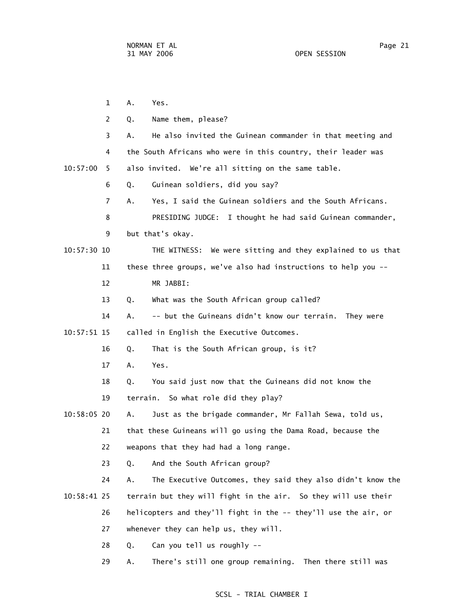| $\mathbf{1}$  | Α.<br>Yes.                                                        |
|---------------|-------------------------------------------------------------------|
| 2             | Name them, please?<br>Q.                                          |
| 3             | He also invited the Guinean commander in that meeting and<br>А.   |
| 4             | the South Africans who were in this country, their leader was     |
| 10:57:00<br>5 | also invited. We're all sitting on the same table.                |
| 6             | Guinean soldiers, did you say?<br>Q.                              |
| 7             | Yes, I said the Guinean soldiers and the South Africans.<br>А.    |
| 8             | PRESIDING JUDGE: I thought he had said Guinean commander,         |
| 9             | but that's okay.                                                  |
| 10:57:30 10   | THE WITNESS: We were sitting and they explained to us that        |
| 11            | these three groups, we've also had instructions to help you --    |
| 12            | MR JABBI:                                                         |
| 13            | What was the South African group called?<br>Q.                    |
| 14            | -- but the Guineans didn't know our terrain.<br>А.<br>They were   |
| 10:57:51 15   | called in English the Executive Outcomes.                         |
| 16            | That is the South African group, is it?<br>Q.                     |
| 17            | Yes.<br>А.                                                        |
| 18            | You said just now that the Guineans did not know the<br>Q.        |
| 19            | So what role did they play?<br>terrain.                           |
| 10:58:05 20   | Just as the brigade commander, Mr Fallah Sewa, told us,<br>Α.     |
| 21            | that these Guineans will go using the Dama Road, because the      |
| 22            | weapons that they had had a long range.                           |
| 23            | And the South African group?<br>Q.                                |
| 24            | The Executive Outcomes, they said they also didn't know the<br>Α. |
| 10:58:41 25   | terrain but they will fight in the air. So they will use their    |
| 26            | helicopters and they'll fight in the -- they'll use the air, or   |
| 27            | whenever they can help us, they will.                             |
| 28            | Can you tell us roughly --<br>Q.                                  |
| 29            | There's still one group remaining. Then there still was<br>Α.     |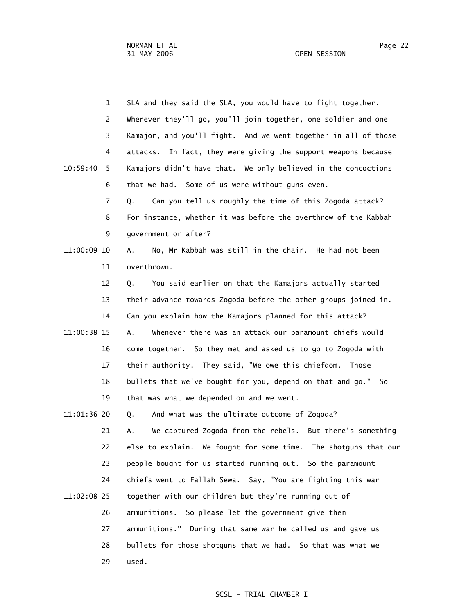1 SLA and they said the SLA, you would have to fight together. 2 Wherever they'll go, you'll join together, one soldier and one 3 Kamajor, and you'll fight. And we went together in all of those 4 attacks. In fact, they were giving the support weapons because 10:59:40 5 Kamajors didn't have that. We only believed in the concoctions 6 that we had. Some of us were without guns even. 7 Q. Can you tell us roughly the time of this Zogoda attack? 8 For instance, whether it was before the overthrow of the Kabbah 9 government or after? 11:00:09 10 A. No, Mr Kabbah was still in the chair. He had not been 11 overthrown. 12 Q. You said earlier on that the Kamajors actually started 13 their advance towards Zogoda before the other groups joined in. 14 Can you explain how the Kamajors planned for this attack? 11:00:38 15 A. Whenever there was an attack our paramount chiefs would 16 come together. So they met and asked us to go to Zogoda with 17 their authority. They said, "We owe this chiefdom. Those 18 bullets that we've bought for you, depend on that and go." So 19 that was what we depended on and we went. 11:01:36 20 Q. And what was the ultimate outcome of Zogoda? 21 A. We captured Zogoda from the rebels. But there's something 22 else to explain. We fought for some time. The shotguns that our 23 people bought for us started running out. So the paramount 24 chiefs went to Fallah Sewa. Say, "You are fighting this war 11:02:08 25 together with our children but they're running out of 26 ammunitions. So please let the government give them 27 ammunitions." During that same war he called us and gave us 28 bullets for those shotguns that we had. So that was what we 29 used.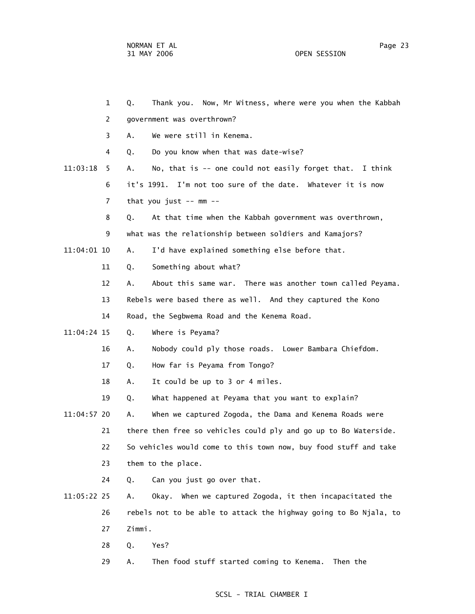|             | $\mathbf{1}$   | Thank you.  Now, Mr Witness, where were you when the Kabbah<br>Q. |
|-------------|----------------|-------------------------------------------------------------------|
|             | 2              | government was overthrown?                                        |
|             | 3              | We were still in Kenema.<br>А.                                    |
|             | 4              | Do you know when that was date-wise?<br>Q.                        |
| 11:03:18    | 5.             | No, that is -- one could not easily forget that. I think<br>Α.    |
|             | 6              | it's 1991. I'm not too sure of the date. Whatever it is now       |
|             | $\overline{7}$ | that you just $--$ mm $--$                                        |
|             | 8              | At that time when the Kabbah government was overthrown,<br>Q.     |
|             | 9              | what was the relationship between soldiers and Kamajors?          |
| 11:04:01 10 |                | I'd have explained something else before that.<br>Α.              |
|             | 11             | Something about what?<br>Q.                                       |
|             | 12             | About this same war. There was another town called Peyama.<br>А.  |
|             | 13             | Rebels were based there as well. And they captured the Kono       |
|             | 14             | Road, the Segbwema Road and the Kenema Road.                      |
| 11:04:24 15 |                | Where is Peyama?<br>Q.                                            |
|             | 16             | Nobody could ply those roads. Lower Bambara Chiefdom.<br>Α.       |
|             | 17             | How far is Peyama from Tongo?<br>Q.                               |
|             | 18             | It could be up to 3 or 4 miles.<br>Α.                             |
|             | 19             | What happened at Peyama that you want to explain?<br>Q.           |
| 11:04:57 20 |                | When we captured Zogoda, the Dama and Kenema Roads were<br>Α.     |
|             | 21             | there then free so vehicles could ply and go up to Bo Waterside.  |
|             | 22             | So vehicles would come to this town now, buy food stuff and take  |
|             | 23             | them to the place.                                                |
|             | 24             | Q.<br>Can you just go over that.                                  |
| 11:05:22 25 |                | Okay. When we captured Zogoda, it then incapacitated the<br>Α.    |
|             | 26             | rebels not to be able to attack the highway going to Bo Njala, to |
|             | 27             | Zimmi.                                                            |
|             | 28             | Q.<br>Yes?                                                        |
|             | 29             | Then food stuff started coming to Kenema.<br>Then the<br>Α.       |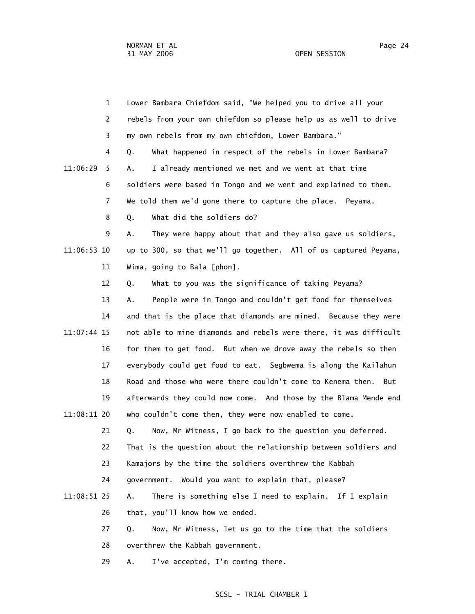|             | $\mathbf{1}$ | Lower Bambara Chiefdom said, "We helped you to drive all your      |
|-------------|--------------|--------------------------------------------------------------------|
|             | 2            | rebels from your own chiefdom so please help us as well to drive   |
|             | 3            | my own rebels from my own chiefdom, Lower Bambara."                |
|             | 4            | What happened in respect of the rebels in Lower Bambara?<br>Q.     |
| 11:06:29    | 5            | I already mentioned we met and we went at that time<br>Α.          |
|             | 6            | soldiers were based in Tongo and we went and explained to them.    |
|             | 7            | We told them we'd gone there to capture the place. Peyama.         |
|             | 8            | What did the soldiers do?<br>Q.                                    |
|             | 9            | They were happy about that and they also gave us soldiers,<br>Α.   |
| 11:06:53 10 |              | up to 300, so that we'll go together. All of us captured Peyama,   |
|             | 11           | Wima, going to Bala [phon].                                        |
|             | 12           | What to you was the significance of taking Peyama?<br>Q.           |
|             | 13           | People were in Tongo and couldn't get food for themselves<br>А.    |
|             | 14           | and that is the place that diamonds are mined. Because they were   |
| 11:07:44 15 |              | not able to mine diamonds and rebels were there, it was difficult  |
|             | 16           | for them to get food. But when we drove away the rebels so then    |
|             | 17           | everybody could get food to eat. Segbwema is along the Kailahun    |
|             | 18           | Road and those who were there couldn't come to Kenema then.<br>But |
|             | 19           | afterwards they could now come. And those by the Blama Mende end   |
| 11:08:11 20 |              | who couldn't come then, they were now enabled to come.             |
|             | 21           | Now, Mr Witness, I go back to the question you deferred.<br>Q.     |
|             | 22           | That is the question about the relationship between soldiers and   |
|             | 23           | Kamajors by the time the soldiers overthrew the Kabbah             |
|             | 24           | government. Would you want to explain that, please?                |
| 11:08:51 25 |              | There is something else I need to explain. If I explain<br>Α.      |
|             | 26           | that, you'll know how we ended.                                    |
|             | っっ           | Now Mr Witness let us go to the time that the soldiers             |

 27 Q. Now, Mr Witness, let us go to the time that the soldiers 28 overthrew the Kabbah government.

29 A. I've accepted, I'm coming there.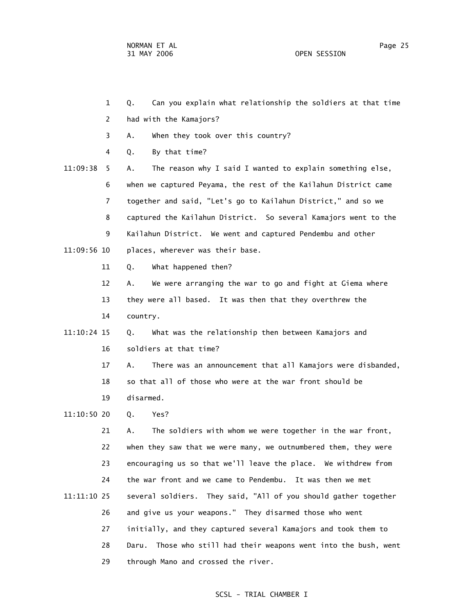- 1 Q. Can you explain what relationship the soldiers at that time
- 2 had with the Kamajors?
- 3 A. When they took over this country?
- 4 Q. By that time?
- 11:09:38 5 A. The reason why I said I wanted to explain something else, 6 when we captured Peyama, the rest of the Kailahun District came 7 together and said, "Let's go to Kailahun District," and so we 8 captured the Kailahun District. So several Kamajors went to the 9 Kailahun District. We went and captured Pendembu and other 11:09:56 10 places, wherever was their base.
	- 11 Q. What happened then?
	- 12 A. We were arranging the war to go and fight at Giema where 13 they were all based. It was then that they overthrew the 14 country.
- 11:10:24 15 Q. What was the relationship then between Kamajors and 16 soldiers at that time?
	- 17 A. There was an announcement that all Kamajors were disbanded, 18 so that all of those who were at the war front should be
	- 19 disarmed.
- 11:10:50 20 Q. Yes?

 21 A. The soldiers with whom we were together in the war front, 22 when they saw that we were many, we outnumbered them, they were 23 encouraging us so that we'll leave the place. We withdrew from 24 the war front and we came to Pendembu. It was then we met 11:11:10 25 several soldiers. They said, "All of you should gather together 26 and give us your weapons." They disarmed those who went 27 initially, and they captured several Kamajors and took them to 28 Daru. Those who still had their weapons went into the bush, went 29 through Mano and crossed the river.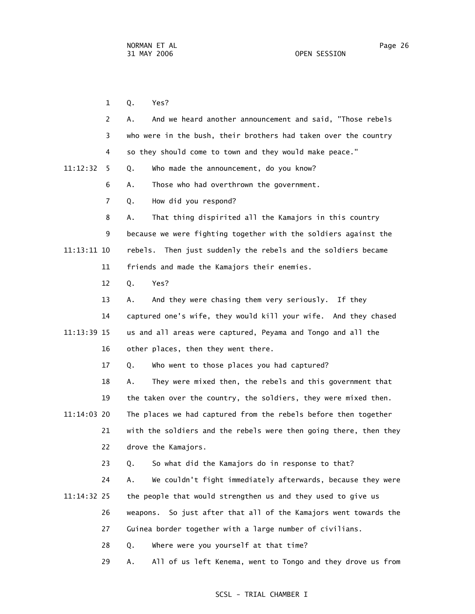1 Q. Yes? 2 A. And we heard another announcement and said, "Those rebels 3 who were in the bush, their brothers had taken over the country 4 so they should come to town and they would make peace." 11:12:32 5 Q. Who made the announcement, do you know? 6 A. Those who had overthrown the government. 7 Q. How did you respond? 8 A. That thing dispirited all the Kamajors in this country 9 because we were fighting together with the soldiers against the 11:13:11 10 rebels. Then just suddenly the rebels and the soldiers became 11 friends and made the Kamajors their enemies. 12 Q. Yes? 13 A. And they were chasing them very seriously. If they 14 captured one's wife, they would kill your wife. And they chased 11:13:39 15 us and all areas were captured, Peyama and Tongo and all the 16 other places, then they went there. 17 Q. Who went to those places you had captured? 18 A. They were mixed then, the rebels and this government that 19 the taken over the country, the soldiers, they were mixed then. 11:14:03 20 The places we had captured from the rebels before then together 21 with the soldiers and the rebels were then going there, then they 22 drove the Kamajors. 23 Q. So what did the Kamajors do in response to that? 24 A. We couldn't fight immediately afterwards, because they were 11:14:32 25 the people that would strengthen us and they used to give us 26 weapons. So just after that all of the Kamajors went towards the 27 Guinea border together with a large number of civilians. 28 Q. Where were you yourself at that time?

29 A. All of us left Kenema, went to Tongo and they drove us from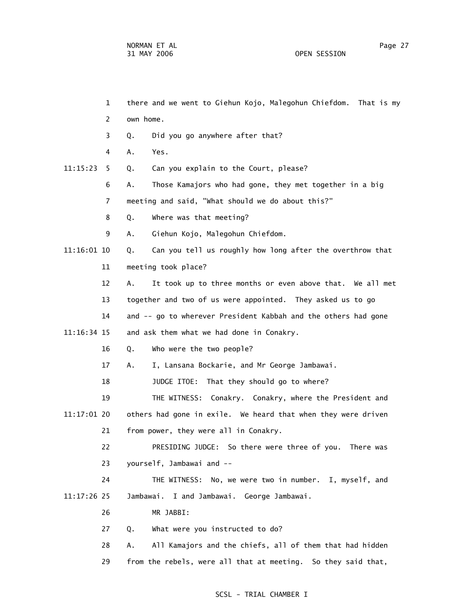1 there and we went to Giehun Kojo, Malegohun Chiefdom. That is my 2 own home. 3 Q. Did you go anywhere after that? 4 A. Yes. 11:15:23 5 Q. Can you explain to the Court, please? 6 A. Those Kamajors who had gone, they met together in a big 7 meeting and said, "What should we do about this?" 8 Q. Where was that meeting? 9 A. Giehun Kojo, Malegohun Chiefdom. 11:16:01 10 Q. Can you tell us roughly how long after the overthrow that 11 meeting took place? 12 A. It took up to three months or even above that. We all met 13 together and two of us were appointed. They asked us to go 14 and -- go to wherever President Kabbah and the others had gone 11:16:34 15 and ask them what we had done in Conakry. 16 Q. Who were the two people? 17 A. I, Lansana Bockarie, and Mr George Jambawai. 18 JUDGE ITOE: That they should go to where? 19 THE WITNESS: Conakry. Conakry, where the President and 11:17:01 20 others had gone in exile. We heard that when they were driven 21 from power, they were all in Conakry. 22 PRESIDING JUDGE: So there were three of you. There was 23 yourself, Jambawai and -- 24 THE WITNESS: No, we were two in number. I, myself, and 11:17:26 25 Jambawai. I and Jambawai. George Jambawai. 26 MR JABBI: 27 Q. What were you instructed to do? 28 A. All Kamajors and the chiefs, all of them that had hidden 29 from the rebels, were all that at meeting. So they said that,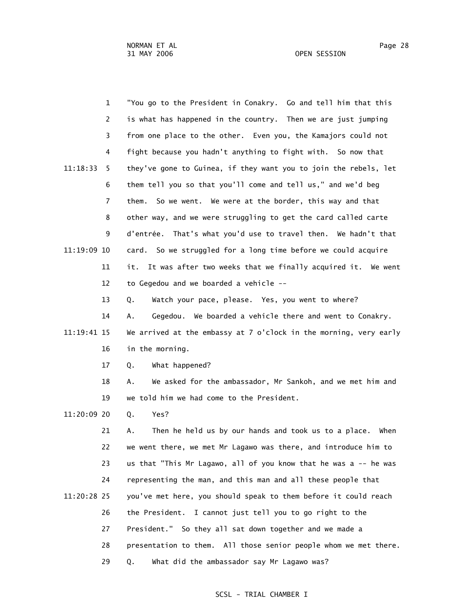1 "You go to the President in Conakry. Go and tell him that this 2 is what has happened in the country. Then we are just jumping 3 from one place to the other. Even you, the Kamajors could not 4 fight because you hadn't anything to fight with. So now that 11:18:33 5 they've gone to Guinea, if they want you to join the rebels, let 6 them tell you so that you'll come and tell us," and we'd beg 7 them. So we went. We were at the border, this way and that 8 other way, and we were struggling to get the card called carte 9 d'entrée. That's what you'd use to travel then. We hadn't that 11:19:09 10 card. So we struggled for a long time before we could acquire 11 it. It was after two weeks that we finally acquired it. We went 12 to Gegedou and we boarded a vehicle --

13 Q. Watch your pace, please. Yes, you went to where?

 14 A. Gegedou. We boarded a vehicle there and went to Conakry. 11:19:41 15 We arrived at the embassy at 7 o'clock in the morning, very early 16 in the morning.

17 Q. What happened?

 18 A. We asked for the ambassador, Mr Sankoh, and we met him and 19 we told him we had come to the President.

11:20:09 20 Q. Yes?

 21 A. Then he held us by our hands and took us to a place. When 22 we went there, we met Mr Lagawo was there, and introduce him to 23 us that "This Mr Lagawo, all of you know that he was a -- he was 24 representing the man, and this man and all these people that 11:20:28 25 you've met here, you should speak to them before it could reach 26 the President. I cannot just tell you to go right to the 27 President." So they all sat down together and we made a 28 presentation to them. All those senior people whom we met there. 29 Q. What did the ambassador say Mr Lagawo was?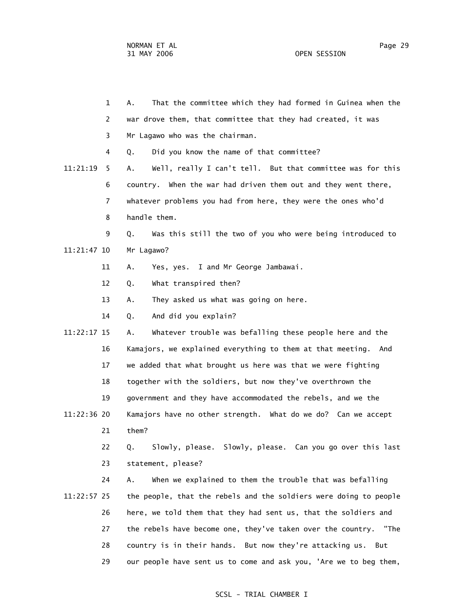|             | $\mathbf{1}$   | That the committee which they had formed in Guinea when the<br>Α. |
|-------------|----------------|-------------------------------------------------------------------|
|             | $\overline{2}$ | war drove them, that committee that they had created, it was      |
|             | 3              | Mr Lagawo who was the chairman.                                   |
|             | 4              | Did you know the name of that committee?<br>Q.                    |
| 11:21:19    | 5.             | Well, really I can't tell. But that committee was for this<br>Α.  |
|             | 6              | When the war had driven them out and they went there,<br>country. |
|             | $\overline{7}$ | whatever problems you had from here, they were the ones who'd     |
|             | 8              | handle them.                                                      |
|             | 9              | Was this still the two of you who were being introduced to<br>Q.  |
| 11:21:47 10 |                | Mr Lagawo?                                                        |
|             | 11             | Yes, yes. I and Mr George Jambawai.<br>Α.                         |
|             | 12             | What transpired then?<br>Q.                                       |
|             | 13             | They asked us what was going on here.<br>А.                       |
|             | 14             | And did you explain?<br>Q.                                        |
| 11:22:17 15 |                | Whatever trouble was befalling these people here and the<br>Α.    |
|             | 16             | Kamajors, we explained everything to them at that meeting. And    |
|             | 17             | we added that what brought us here was that we were fighting      |
|             | 18             | together with the soldiers, but now they've overthrown the        |
|             | 19             | government and they have accommodated the rebels, and we the      |
| 11:22:36 20 |                | Kamajors have no other strength. What do we do? Can we accept     |
|             | 21             | them?                                                             |
|             | 22             | Slowly, please. Slowly, please. Can you go over this last<br>Q.   |
|             | 23             | statement, please?                                                |
|             | 24             | When we explained to them the trouble that was befalling<br>Α.    |
| 11:22:57 25 |                | the people, that the rebels and the soldiers were doing to people |
|             | 26             | here, we told them that they had sent us, that the soldiers and   |
|             | 27             | the rebels have become one, they've taken over the country. "The  |
|             | 28             | country is in their hands. But now they're attacking us. But      |
|             | 29             | our people have sent us to come and ask you, 'Are we to beg them, |
|             |                |                                                                   |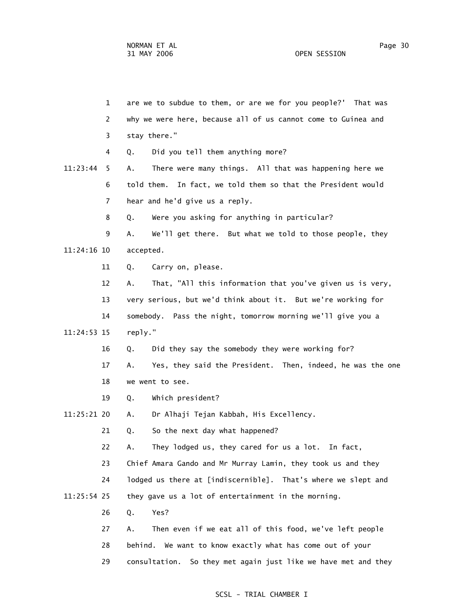1 are we to subdue to them, or are we for you people?' That was 2 why we were here, because all of us cannot come to Guinea and 3 stay there." 4 Q. Did you tell them anything more? 11:23:44 5 A. There were many things. All that was happening here we 6 told them. In fact, we told them so that the President would 7 hear and he'd give us a reply. 8 Q. Were you asking for anything in particular? 9 A. We'll get there. But what we told to those people, they 11:24:16 10 accepted. 11 Q. Carry on, please. 12 A. That, "All this information that you've given us is very, 13 very serious, but we'd think about it. But we're working for 14 somebody. Pass the night, tomorrow morning we'll give you a 11:24:53 15 reply." 16 Q. Did they say the somebody they were working for? 17 A. Yes, they said the President. Then, indeed, he was the one 18 we went to see. 19 Q. Which president? 11:25:21 20 A. Dr Alhaji Tejan Kabbah, His Excellency. 21 Q. So the next day what happened? 22 A. They lodged us, they cared for us a lot. In fact, 23 Chief Amara Gando and Mr Murray Lamin, they took us and they 24 lodged us there at [indiscernible]. That's where we slept and 11:25:54 25 they gave us a lot of entertainment in the morning. 26 Q. Yes? 27 A. Then even if we eat all of this food, we've left people 28 behind. We want to know exactly what has come out of your 29 consultation. So they met again just like we have met and they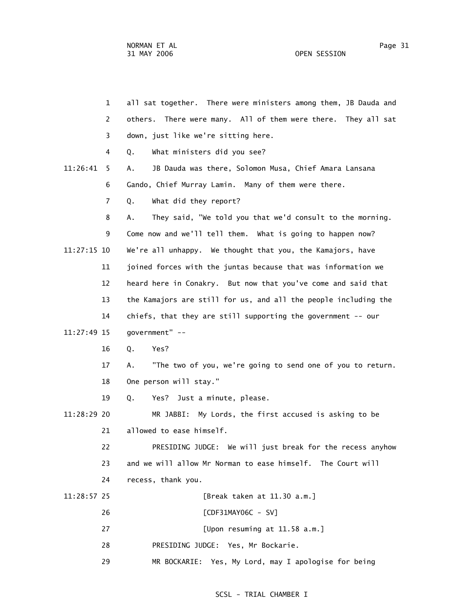| 1              | all sat together. There were ministers among them, JB Dauda and  |
|----------------|------------------------------------------------------------------|
| 2              | others. There were many. All of them were there. They all sat    |
| 3              | down, just like we're sitting here.                              |
| 4              | What ministers did you see?<br>Q.                                |
| 11:26:41<br>5. | JB Dauda was there, Solomon Musa, Chief Amara Lansana<br>Α.      |
| 6              | Gando, Chief Murray Lamin. Many of them were there.              |
| 7              | What did they report?<br>Q.                                      |
| 8              | They said, "We told you that we'd consult to the morning.<br>Α.  |
| 9              | Come now and we'll tell them. What is going to happen now?       |
| 11:27:15 10    | We're all unhappy. We thought that you, the Kamajors, have       |
| 11             | joined forces with the juntas because that was information we    |
| 12             | heard here in Conakry. But now that you've come and said that    |
| 13             | the Kamajors are still for us, and all the people including the  |
| 14             | chiefs, that they are still supporting the government -- our     |
| 11:27:49 15    | government" --                                                   |
| 16             | Q.<br>Yes?                                                       |
| 17             | "The two of you, we're going to send one of you to return.<br>Α. |
| 18             | One person will stay."                                           |
| 19             | Yes? Just a minute, please.<br>Q.                                |
| 11:28:29 20    | My Lords, the first accused is asking to be<br>MR JABBI:         |
| 21             | allowed to ease himself.                                         |
| 22             | PRESIDING JUDGE: We will just break for the recess anyhow        |
| 23             | and we will allow Mr Norman to ease himself. The Court will      |
| 24             | recess, thank you.                                               |
| 11:28:57 25    | [Break taken at 11.30 a.m.]                                      |
| 26             | [CDF31MAY06C - SV]                                               |
| 27             | [Upon resuming at 11.58 a.m.]                                    |
| 28             | PRESIDING JUDGE: Yes, Mr Bockarie.                               |
| 29             | Yes, My Lord, may I apologise for being<br>MR BOCKARIE:          |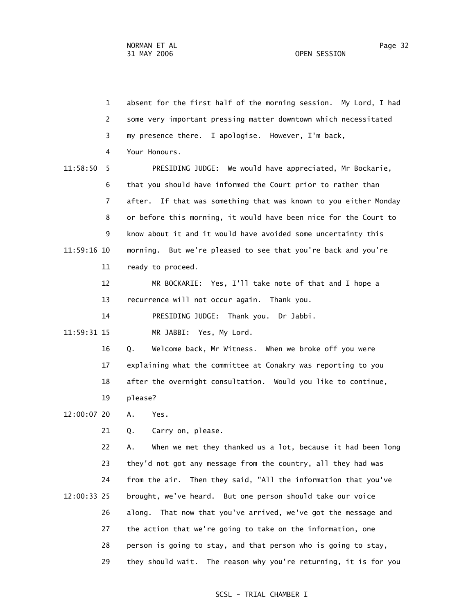1 absent for the first half of the morning session. My Lord, I had 2 some very important pressing matter downtown which necessitated 3 my presence there. I apologise. However, I'm back, 4 Your Honours. 11:58:50 5 PRESIDING JUDGE: We would have appreciated, Mr Bockarie, 6 that you should have informed the Court prior to rather than 7 after. If that was something that was known to you either Monday 8 or before this morning, it would have been nice for the Court to 9 know about it and it would have avoided some uncertainty this 11:59:16 10 morning. But we're pleased to see that you're back and you're 11 ready to proceed. 12 MR BOCKARIE: Yes, I'll take note of that and I hope a 13 recurrence will not occur again. Thank you. 14 PRESIDING JUDGE: Thank you. Dr Jabbi. 11:59:31 15 MR JABBI: Yes, My Lord. 16 Q. Welcome back, Mr Witness. When we broke off you were 17 explaining what the committee at Conakry was reporting to you 18 after the overnight consultation. Would you like to continue, 19 please? 12:00:07 20 A. Yes. 21 Q. Carry on, please. 22 A. When we met they thanked us a lot, because it had been long 23 they'd not got any message from the country, all they had was 24 from the air. Then they said, "All the information that you've 12:00:33 25 brought, we've heard. But one person should take our voice 26 along. That now that you've arrived, we've got the message and 27 the action that we're going to take on the information, one 28 person is going to stay, and that person who is going to stay, 29 they should wait. The reason why you're returning, it is for you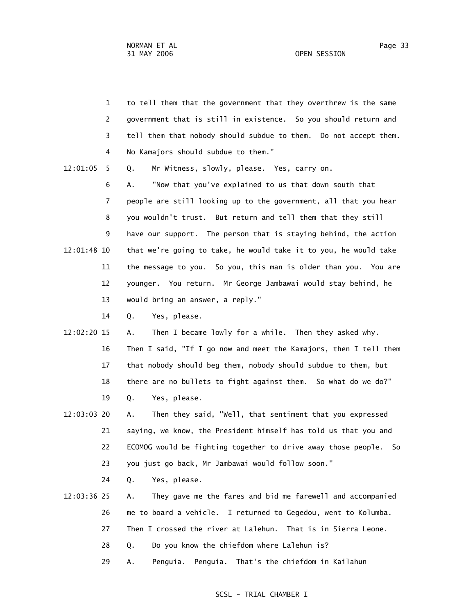1 to tell them that the government that they overthrew is the same 2 government that is still in existence. So you should return and 3 tell them that nobody should subdue to them. Do not accept them. 4 No Kamajors should subdue to them."

12:01:05 5 Q. Mr Witness, slowly, please. Yes, carry on.

 6 A. "Now that you've explained to us that down south that 7 people are still looking up to the government, all that you hear 8 you wouldn't trust. But return and tell them that they still 9 have our support. The person that is staying behind, the action 12:01:48 10 that we're going to take, he would take it to you, he would take 11 the message to you. So you, this man is older than you. You are 12 younger. You return. Mr George Jambawai would stay behind, he 13 would bring an answer, a reply."

14 Q. Yes, please.

- 12:02:20 15 A. Then I became lowly for a while. Then they asked why. 16 Then I said, "If I go now and meet the Kamajors, then I tell them 17 that nobody should beg them, nobody should subdue to them, but 18 there are no bullets to fight against them. So what do we do?" 19 Q. Yes, please.
- 12:03:03 20 A. Then they said, "Well, that sentiment that you expressed 21 saying, we know, the President himself has told us that you and 22 ECOMOG would be fighting together to drive away those people. So 23 you just go back, Mr Jambawai would follow soon."

24 Q. Yes, please.

- 12:03:36 25 A. They gave me the fares and bid me farewell and accompanied 26 me to board a vehicle. I returned to Gegedou, went to Kolumba. 27 Then I crossed the river at Lalehun. That is in Sierra Leone. 28 Q. Do you know the chiefdom where Lalehun is?
	-

29 A. Penguia. Penguia. That's the chiefdom in Kailahun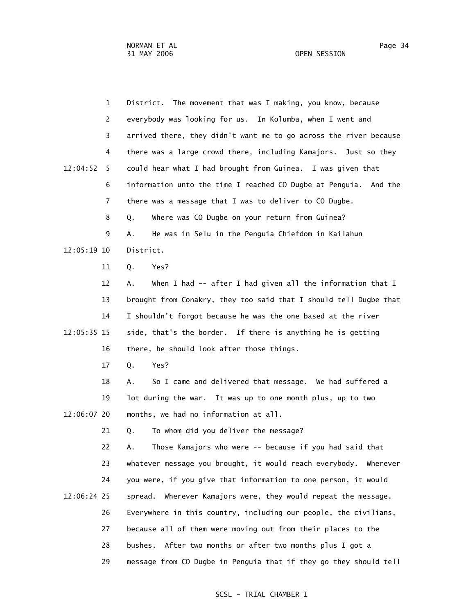1 District. The movement that was I making, you know, because 2 everybody was looking for us. In Kolumba, when I went and 3 arrived there, they didn't want me to go across the river because 4 there was a large crowd there, including Kamajors. Just so they 12:04:52 5 could hear what I had brought from Guinea. I was given that 6 information unto the time I reached CO Dugbe at Penguia. And the 7 there was a message that I was to deliver to CO Dugbe. 8 Q. Where was CO Dugbe on your return from Guinea? 9 A. He was in Selu in the Penguia Chiefdom in Kailahun 12:05:19 10 District. 11 Q. Yes? 12 A. When I had -- after I had given all the information that I 13 brought from Conakry, they too said that I should tell Dugbe that 14 I shouldn't forgot because he was the one based at the river 12:05:35 15 side, that's the border. If there is anything he is getting 16 there, he should look after those things. 17 Q. Yes? 18 A. So I came and delivered that message. We had suffered a 19 lot during the war. It was up to one month plus, up to two 12:06:07 20 months, we had no information at all. 21 Q. To whom did you deliver the message? 22 A. Those Kamajors who were -- because if you had said that 23 whatever message you brought, it would reach everybody. Wherever 24 you were, if you give that information to one person, it would 12:06:24 25 spread. Wherever Kamajors were, they would repeat the message. 26 Everywhere in this country, including our people, the civilians, 27 because all of them were moving out from their places to the 28 bushes. After two months or after two months plus I got a 29 message from CO Dugbe in Penguia that if they go they should tell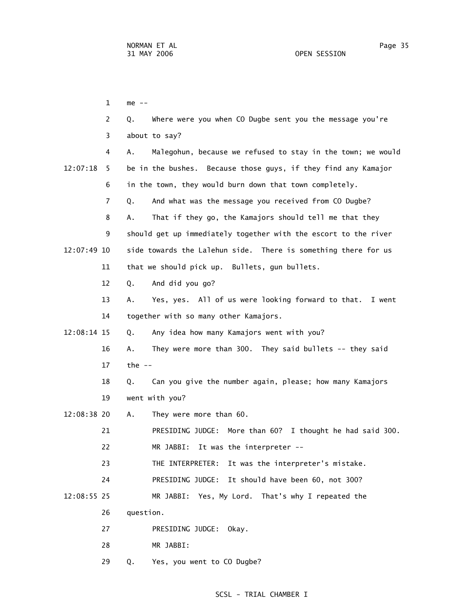1 me -- 2 Q. Where were you when CO Dugbe sent you the message you're 3 about to say? 4 A. Malegohun, because we refused to stay in the town; we would 12:07:18 5 be in the bushes. Because those guys, if they find any Kamajor 6 in the town, they would burn down that town completely. 7 Q. And what was the message you received from CO Dugbe? 8 A. That if they go, the Kamajors should tell me that they 9 should get up immediately together with the escort to the river 12:07:49 10 side towards the Lalehun side. There is something there for us 11 that we should pick up. Bullets, gun bullets. 12 Q. And did you go? 13 A. Yes, yes. All of us were looking forward to that. I went 14 together with so many other Kamajors. 12:08:14 15 Q. Any idea how many Kamajors went with you? 16 A. They were more than 300. They said bullets -- they said 17 the -- 18 Q. Can you give the number again, please; how many Kamajors 19 went with you? 12:08:38 20 A. They were more than 60. 21 PRESIDING JUDGE: More than 60? I thought he had said 300. 22 MR JABBI: It was the interpreter -- 23 THE INTERPRETER: It was the interpreter's mistake. 24 PRESIDING JUDGE: It should have been 60, not 300? 12:08:55 25 MR JABBI: Yes, My Lord. That's why I repeated the 26 question. 27 PRESIDING JUDGE: Okay. 28 MR JABBI:

### SCSL - TRIAL CHAMBER I

29 Q. Yes, you went to CO Dugbe?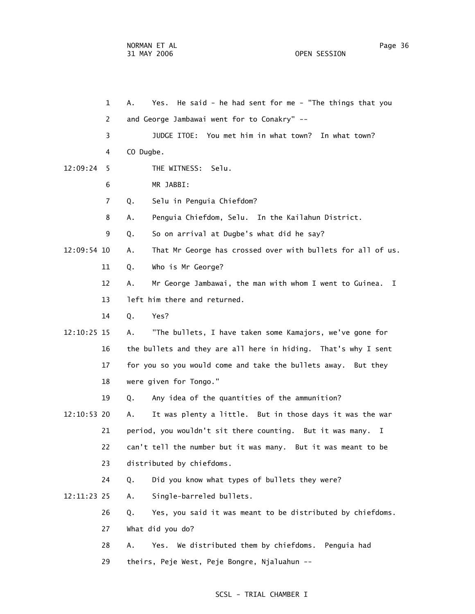|             | $\mathbf{1}$ | He said - he had sent for me - "The things that you<br>А.<br>Yes.  |
|-------------|--------------|--------------------------------------------------------------------|
|             | 2            | and George Jambawai went for to Conakry" --                        |
|             | 3            | JUDGE ITOE: You met him in what town? In what town?                |
|             | 4            | CO Dugbe.                                                          |
| 12:09:24    | 5            | THE WITNESS: Selu.                                                 |
|             | 6            | MR JABBI:                                                          |
|             | 7            | Selu in Penguia Chiefdom?<br>Q.                                    |
|             | 8            | Penguia Chiefdom, Selu. In the Kailahun District.<br>Α.            |
|             | 9            | So on arrival at Dugbe's what did he say?<br>Q.                    |
| 12:09:54 10 |              | That Mr George has crossed over with bullets for all of us.<br>А.  |
|             | 11           | Who is Mr George?<br>Q.                                            |
|             | 12           | Mr George Jambawai, the man with whom I went to Guinea.<br>Α.<br>I |
|             | 13           | left him there and returned.                                       |
|             | 14           | Q.<br>Yes?                                                         |
| 12:10:25 15 |              | "The bullets, I have taken some Kamajors, we've gone for<br>А.     |
|             | 16           | the bullets and they are all here in hiding. That's why I sent     |
|             | 17           | for you so you would come and take the bullets away. But they      |
|             | 18           | were given for Tongo."                                             |
|             | 19           | Any idea of the quantities of the ammunition?<br>Q.                |
| 12:10:53 20 |              | It was plenty a little. But in those days it was the war<br>Α.     |
|             | 21           | period, you wouldn't sit there counting. But it was many.<br>I.    |
|             | 22           | can't tell the number but it was many. But it was meant to be      |
|             | 23           | distributed by chiefdoms.                                          |
|             | 24           | Did you know what types of bullets they were?<br>Q.                |
| 12:11:23 25 |              | Single-barreled bullets.<br>Α.                                     |
|             | 26           | Yes, you said it was meant to be distributed by chiefdoms.<br>Q.   |
|             | 27           | What did you do?                                                   |
|             | 28           | Yes. We distributed them by chiefdoms.<br>Penguia had<br>Α.        |
|             | 29           | theirs, Peje West, Peje Bongre, Njaluahun --                       |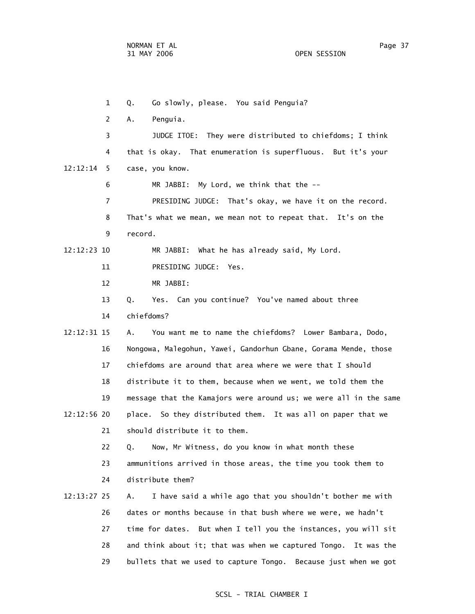1 Q. Go slowly, please. You said Penguia? 2 A. Penguia. 3 JUDGE ITOE: They were distributed to chiefdoms; I think 4 that is okay. That enumeration is superfluous. But it's your 12:12:14 5 case, you know. 6 MR JABBI: My Lord, we think that the -- 7 PRESIDING JUDGE: That's okay, we have it on the record. 8 That's what we mean, we mean not to repeat that. It's on the 9 record. 12:12:23 10 MR JABBI: What he has already said, My Lord. 11 PRESIDING JUDGE: Yes. 12 MR JABBI: 13 Q. Yes. Can you continue? You've named about three 14 chiefdoms? 12:12:31 15 A. You want me to name the chiefdoms? Lower Bambara, Dodo, 16 Nongowa, Malegohun, Yawei, Gandorhun Gbane, Gorama Mende, those 17 chiefdoms are around that area where we were that I should 18 distribute it to them, because when we went, we told them the 19 message that the Kamajors were around us; we were all in the same 12:12:56 20 place. So they distributed them. It was all on paper that we 21 should distribute it to them. 22 Q. Now, Mr Witness, do you know in what month these 23 ammunitions arrived in those areas, the time you took them to 24 distribute them?

 12:13:27 25 A. I have said a while ago that you shouldn't bother me with 26 dates or months because in that bush where we were, we hadn't 27 time for dates. But when I tell you the instances, you will sit 28 and think about it; that was when we captured Tongo. It was the 29 bullets that we used to capture Tongo. Because just when we got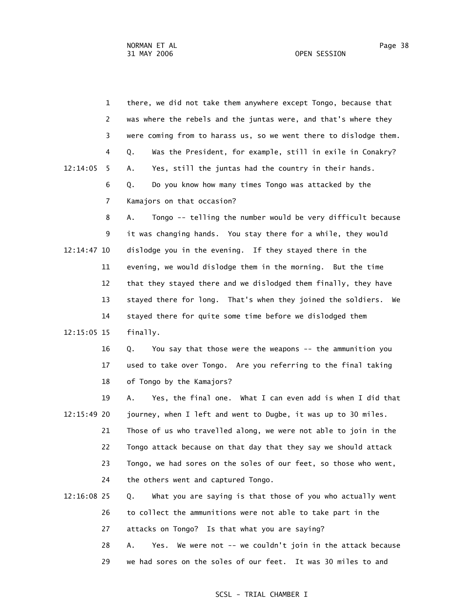|  | <b>OPEN SESSION</b> |  |
|--|---------------------|--|
|  |                     |  |

|               | $\mathbf{1}$   | there, we did not take them anywhere except Tongo, because that   |
|---------------|----------------|-------------------------------------------------------------------|
|               | $\overline{2}$ | was where the rebels and the juntas were, and that's where they   |
|               | 3              | were coming from to harass us, so we went there to dislodge them. |
|               | 4              | Q.<br>Was the President, for example, still in exile in Conakry?  |
| 12:14:05      | 5              | Yes, still the juntas had the country in their hands.<br>Α.       |
|               | 6              | Do you know how many times Tongo was attacked by the<br>Q.        |
|               | $\overline{7}$ | Kamajors on that occasion?                                        |
|               | 8              | Tongo -- telling the number would be very difficult because<br>Α. |
|               | 9              | it was changing hands. You stay there for a while, they would     |
| 12:14:47 10   |                | dislodge you in the evening. If they stayed there in the          |
|               | 11             | evening, we would dislodge them in the morning. But the time      |
|               | 12             | that they stayed there and we dislodged them finally, they have   |
|               | 13             | stayed there for long. That's when they joined the soldiers. We   |
|               | 14             | stayed there for quite some time before we dislodged them         |
| 12:15:05 15   |                | finally.                                                          |
|               | 16             | You say that those were the weapons -- the ammunition you<br>Q.   |
|               | 17             | used to take over Tongo. Are you referring to the final taking    |
|               | 18             | of Tongo by the Kamajors?                                         |
|               | 19             | Yes, the final one. What I can even add is when I did that<br>Α.  |
| $12:15:49$ 20 |                | journey, when I left and went to Dugbe, it was up to 30 miles.    |
|               | 21             | Those of us who travelled along, we were not able to join in the  |
|               | 22             | Tongo attack because on that day that they say we should attack   |
|               | 23             | Tongo, we had sores on the soles of our feet, so those who went,  |
|               | 24             | the others went and captured Tongo.                               |
| $12:16:08$ 25 |                | What you are saying is that those of you who actually went<br>Q.  |
|               | 26             | to collect the ammunitions were not able to take part in the      |

27 attacks on Tongo? Is that what you are saying?

 28 A. Yes. We were not -- we couldn't join in the attack because 29 we had sores on the soles of our feet. It was 30 miles to and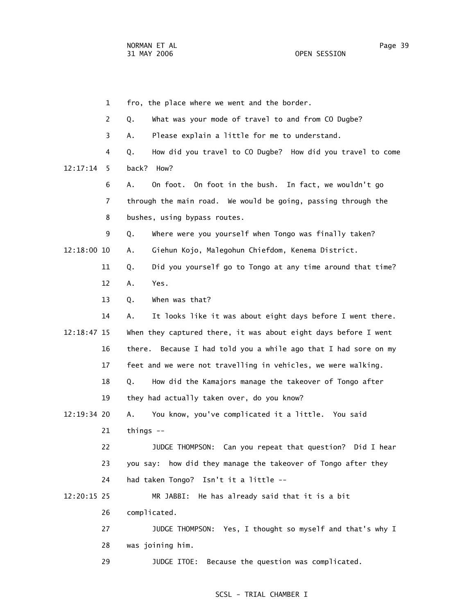1 fro, the place where we went and the border. 2 Q. What was your mode of travel to and from CO Dugbe? 3 A. Please explain a little for me to understand. 4 Q. How did you travel to CO Dugbe? How did you travel to come 12:17:14 5 back? How? 6 A. On foot. On foot in the bush. In fact, we wouldn't go 7 through the main road. We would be going, passing through the 8 bushes, using bypass routes. 9 Q. Where were you yourself when Tongo was finally taken? 12:18:00 10 A. Giehun Kojo, Malegohun Chiefdom, Kenema District. 11 Q. Did you yourself go to Tongo at any time around that time? 12 A. Yes. 13 Q. When was that? 14 A. It looks like it was about eight days before I went there. 12:18:47 15 When they captured there, it was about eight days before I went 16 there. Because I had told you a while ago that I had sore on my 17 feet and we were not travelling in vehicles, we were walking. 18 Q. How did the Kamajors manage the takeover of Tongo after 19 they had actually taken over, do you know? 12:19:34 20 A. You know, you've complicated it a little. You said 21 things -- 22 JUDGE THOMPSON: Can you repeat that question? Did I hear 23 you say: how did they manage the takeover of Tongo after they 24 had taken Tongo? Isn't it a little -- 12:20:15 25 MR JABBI: He has already said that it is a bit 26 complicated. 27 JUDGE THOMPSON: Yes, I thought so myself and that's why I 28 was joining him. 29 JUDGE ITOE: Because the question was complicated.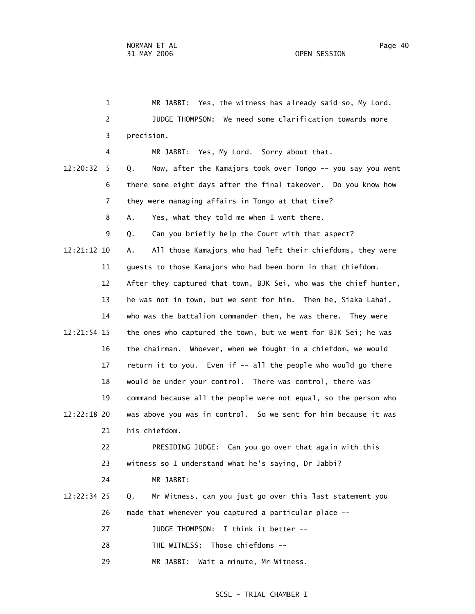1 MR JABBI: Yes, the witness has already said so, My Lord. 2 JUDGE THOMPSON: We need some clarification towards more 3 precision. 4 MR JABBI: Yes, My Lord. Sorry about that. 12:20:32 5 Q. Now, after the Kamajors took over Tongo -- you say you went 6 there some eight days after the final takeover. Do you know how 7 they were managing affairs in Tongo at that time? 8 A. Yes, what they told me when I went there. 9 Q. Can you briefly help the Court with that aspect? 12:21:12 10 A. All those Kamajors who had left their chiefdoms, they were 11 guests to those Kamajors who had been born in that chiefdom. 12 After they captured that town, BJK Sei, who was the chief hunter, 13 he was not in town, but we sent for him. Then he, Siaka Lahai, 14 who was the battalion commander then, he was there. They were 12:21:54 15 the ones who captured the town, but we went for BJK Sei; he was 16 the chairman. Whoever, when we fought in a chiefdom, we would 17 return it to you. Even if -- all the people who would go there 18 would be under your control. There was control, there was 19 command because all the people were not equal, so the person who 12:22:18 20 was above you was in control. So we sent for him because it was 21 his chiefdom. 22 PRESIDING JUDGE: Can you go over that again with this 23 witness so I understand what he's saying, Dr Jabbi? 24 MR JABBI: 12:22:34 25 Q. Mr Witness, can you just go over this last statement you 26 made that whenever you captured a particular place -- 27 JUDGE THOMPSON: I think it better -- 28 THE WITNESS: Those chiefdoms -- 29 MR JABBI: Wait a minute, Mr Witness.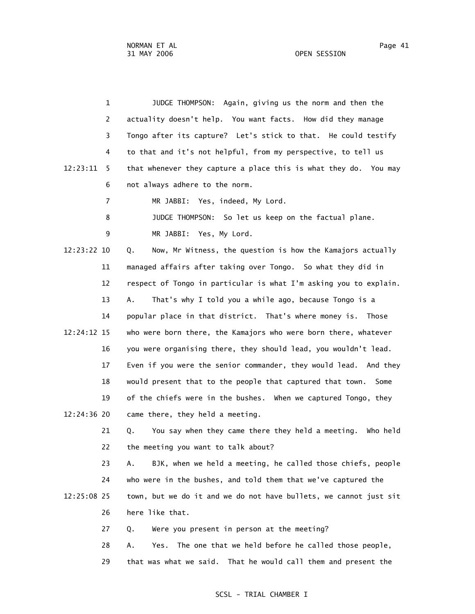1 JUDGE THOMPSON: Again, giving us the norm and then the 2 actuality doesn't help. You want facts. How did they manage 3 Tongo after its capture? Let's stick to that. He could testify 4 to that and it's not helpful, from my perspective, to tell us 12:23:11 5 that whenever they capture a place this is what they do. You may 6 not always adhere to the norm. 7 MR JABBI: Yes, indeed, My Lord. 8 JUDGE THOMPSON: So let us keep on the factual plane. 9 MR JABBI: Yes, My Lord. 12:23:22 10 Q. Now, Mr Witness, the question is how the Kamajors actually 11 managed affairs after taking over Tongo. So what they did in 12 respect of Tongo in particular is what I'm asking you to explain. 13 A. That's why I told you a while ago, because Tongo is a 14 popular place in that district. That's where money is. Those 12:24:12 15 who were born there, the Kamajors who were born there, whatever 16 you were organising there, they should lead, you wouldn't lead. 17 Even if you were the senior commander, they would lead. And they 18 would present that to the people that captured that town. Some 19 of the chiefs were in the bushes. When we captured Tongo, they 12:24:36 20 came there, they held a meeting. 21 Q. You say when they came there they held a meeting. Who held 22 the meeting you want to talk about? 23 A. BJK, when we held a meeting, he called those chiefs, people 24 who were in the bushes, and told them that we've captured the 12:25:08 25 town, but we do it and we do not have bullets, we cannot just sit 26 here like that. 27 Q. Were you present in person at the meeting? 28 A. Yes. The one that we held before he called those people,

29 that was what we said. That he would call them and present the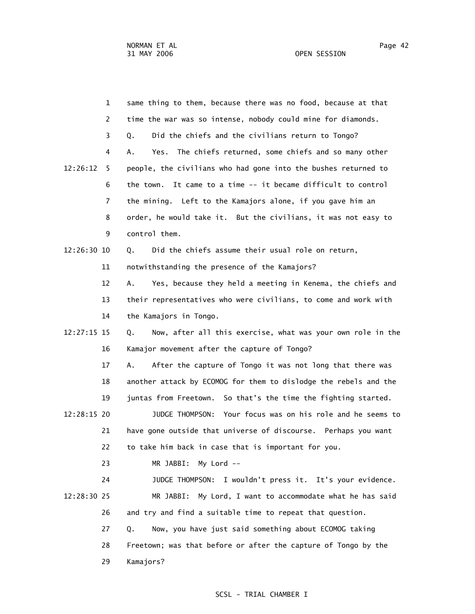| $\mathbf{1}$  | same thing to them, because there was no food, because at that    |
|---------------|-------------------------------------------------------------------|
| 2             | time the war was so intense, nobody could mine for diamonds.      |
| 3             | Did the chiefs and the civilians return to Tongo?<br>Q.           |
| 4             | The chiefs returned, some chiefs and so many other<br>Α.<br>Yes.  |
| 12:26:12<br>5 | people, the civilians who had gone into the bushes returned to    |
| 6             | the town. It came to a time -- it became difficult to control     |
| 7             | the mining. Left to the Kamajors alone, if you gave him an        |
| 8             | order, he would take it. But the civilians, it was not easy to    |
| 9             | control them.                                                     |
| 12:26:30 10   | Did the chiefs assume their usual role on return,<br>Q.           |
| 11            | notwithstanding the presence of the Kamajors?                     |
| 12            | Α.<br>Yes, because they held a meeting in Kenema, the chiefs and  |
| 13            | their representatives who were civilians, to come and work with   |
| 14            | the Kamajors in Tongo.                                            |
| 12:27:15 15   | Now, after all this exercise, what was your own role in the<br>Q. |
| 16            | Kamajor movement after the capture of Tongo?                      |
| 17            | Α.<br>After the capture of Tongo it was not long that there was   |
| 18            | another attack by ECOMOG for them to dislodge the rebels and the  |
| 19            | juntas from Freetown. So that's the time the fighting started.    |
| 12:28:15 20   | Your focus was on his role and he seems to<br>JUDGE THOMPSON:     |
| 21            | have gone outside that universe of discourse. Perhaps you want    |
| 22            | to take him back in case that is important for you.               |
| 23            | My Lord --<br>MR JABBI:                                           |
| 24            | JUDGE THOMPSON: I wouldn't press it. It's your evidence.          |
| 12:28:30 25   | My Lord, I want to accommodate what he has said<br>MR JABBI:      |
| 26            | and try and find a suitable time to repeat that question.         |
| 27            | Now, you have just said something about ECOMOG taking<br>Q.       |
| 28            | Freetown; was that before or after the capture of Tongo by the    |
| 29            | Kamajors?                                                         |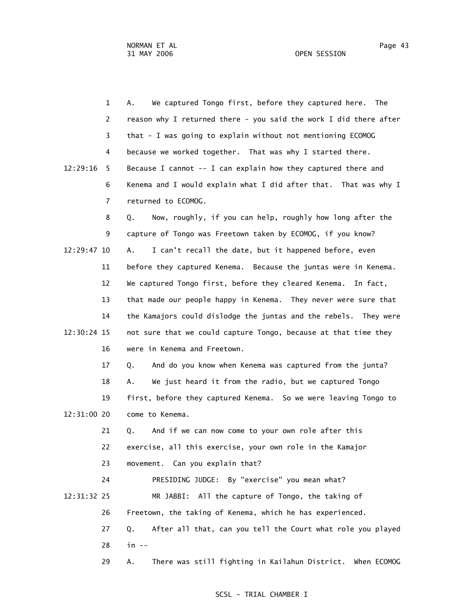1 A. We captured Tongo first, before they captured here. The 2 reason why I returned there - you said the work I did there after 3 that - I was going to explain without not mentioning ECOMOG 4 because we worked together. That was why I started there. 12:29:16 5 Because I cannot -- I can explain how they captured there and 6 Kenema and I would explain what I did after that. That was why I 7 returned to ECOMOG. 8 Q. Now, roughly, if you can help, roughly how long after the 9 capture of Tongo was Freetown taken by ECOMOG, if you know? 12:29:47 10 A. I can't recall the date, but it happened before, even 11 before they captured Kenema. Because the juntas were in Kenema. 12 We captured Tongo first, before they cleared Kenema. In fact, 13 that made our people happy in Kenema. They never were sure that 14 the Kamajors could dislodge the juntas and the rebels. They were 12:30:24 15 not sure that we could capture Tongo, because at that time they 16 were in Kenema and Freetown. 17 Q. And do you know when Kenema was captured from the junta? 18 A. We just heard it from the radio, but we captured Tongo 19 first, before they captured Kenema. So we were leaving Tongo to 12:31:00 20 come to Kenema. 21 Q. And if we can now come to your own role after this 22 exercise, all this exercise, your own role in the Kamajor 23 movement. Can you explain that? 24 PRESIDING JUDGE: By "exercise" you mean what? 12:31:32 25 MR JABBI: All the capture of Tongo, the taking of 26 Freetown, the taking of Kenema, which he has experienced. 27 Q. After all that, can you tell the Court what role you played 28 in -- 29 A. There was still fighting in Kailahun District. When ECOMOG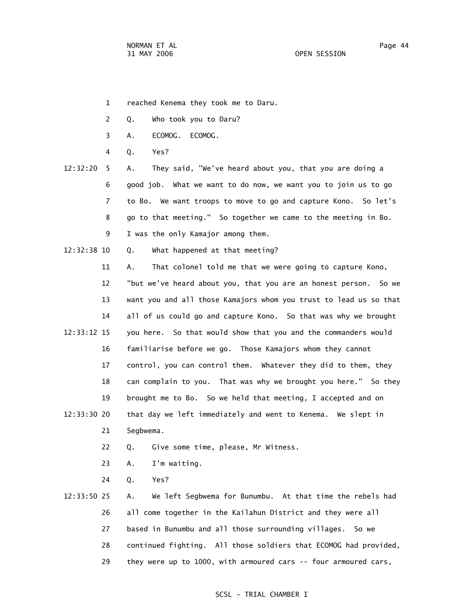- 1 reached Kenema they took me to Daru.
- 2 Q. Who took you to Daru?
- 3 A. ECOMOG. ECOMOG.
- 4 Q. Yes?
- 12:32:20 5 A. They said, "We've heard about you, that you are doing a 6 good job. What we want to do now, we want you to join us to go 7 to Bo. We want troops to move to go and capture Kono. So let's 8 go to that meeting." So together we came to the meeting in Bo. 9 I was the only Kamajor among them.
- 12:32:38 10 Q. What happened at that meeting?
- 11 A. That colonel told me that we were going to capture Kono, 12 "but we've heard about you, that you are an honest person. So we 13 want you and all those Kamajors whom you trust to lead us so that 14 all of us could go and capture Kono. So that was why we brought 12:33:12 15 you here. So that would show that you and the commanders would 16 familiarise before we go. Those Kamajors whom they cannot 17 control, you can control them. Whatever they did to them, they 18 can complain to you. That was why we brought you here." So they 19 brought me to Bo. So we held that meeting, I accepted and on 12:33:30 20 that day we left immediately and went to Kenema. We slept in 21 Segbwema.
	- 22 Q. Give some time, please, Mr Witness.
	- 23 A. I'm waiting.
	- 24 Q. Yes?
- 12:33:50 25 A. We left Segbwema for Bunumbu. At that time the rebels had 26 all come together in the Kailahun District and they were all 27 based in Bunumbu and all those surrounding villages. So we 28 continued fighting. All those soldiers that ECOMOG had provided, 29 they were up to 1000, with armoured cars -- four armoured cars,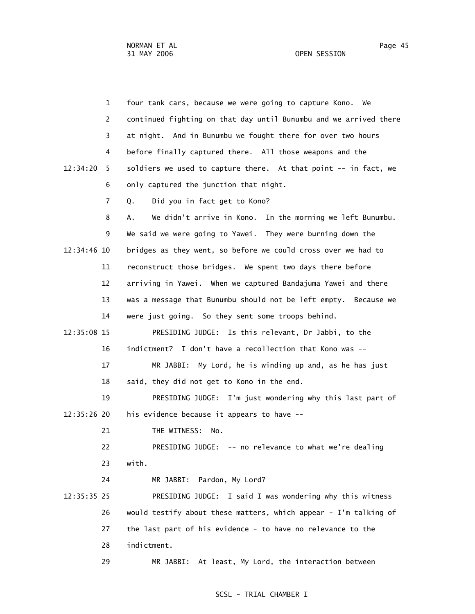|               | $\mathbf{1}$   | four tank cars, because we were going to capture Kono. We         |
|---------------|----------------|-------------------------------------------------------------------|
|               | 2              | continued fighting on that day until Bunumbu and we arrived there |
|               | 3              | at night. And in Bunumbu we fought there for over two hours       |
|               | 4              | before finally captured there. All those weapons and the          |
| 12:34:20      | 5              | soldiers we used to capture there. At that point -- in fact, we   |
|               | 6              | only captured the junction that night.                            |
|               | $\overline{7}$ | Did you in fact get to Kono?<br>Q.                                |
|               | 8              | We didn't arrive in Kono. In the morning we left Bunumbu.<br>А.   |
|               | 9              | We said we were going to Yawei. They were burning down the        |
| 12:34:46 10   |                | bridges as they went, so before we could cross over we had to     |
|               | 11             | reconstruct those bridges. We spent two days there before         |
|               | 12             | arriving in Yawei. When we captured Bandajuma Yawei and there     |
|               | 13             | was a message that Bunumbu should not be left empty. Because we   |
|               | 14             | were just going. So they sent some troops behind.                 |
| 12:35:08 15   |                | PRESIDING JUDGE: Is this relevant, Dr Jabbi, to the               |
|               | 16             | indictment? I don't have a recollection that Kono was --          |
|               | 17             | MR JABBI: My Lord, he is winding up and, as he has just           |
|               | 18             | said, they did not get to Kono in the end.                        |
|               | 19             | PRESIDING JUDGE: I'm just wondering why this last part of         |
| 12:35:26 20   |                | his evidence because it appears to have --                        |
|               | 21             | THE WITNESS:<br>No.                                               |
|               | 22             | PRESIDING JUDGE: -- no relevance to what we're dealing            |
|               | 23             | with.                                                             |
|               | 24             | MR JABBI: Pardon, My Lord?                                        |
| $12:35:35$ 25 |                | PRESIDING JUDGE: I said I was wondering why this witness          |
|               | 26             | would testify about these matters, which appear - I'm talking of  |
|               | 27             | the last part of his evidence - to have no relevance to the       |
|               | 28             | indictment.                                                       |
|               | 29             | At least, My Lord, the interaction between<br>MR JABBI:           |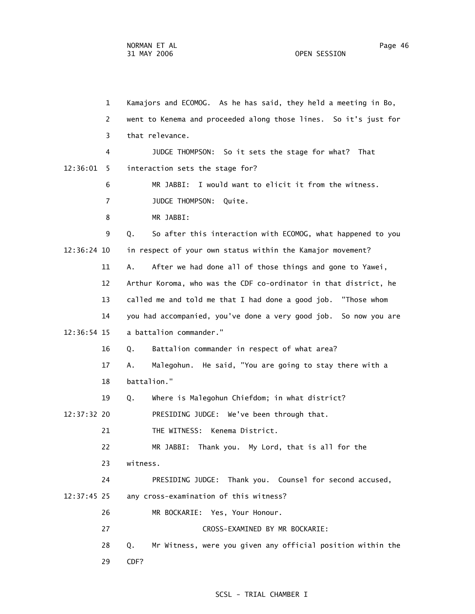1 Kamajors and ECOMOG. As he has said, they held a meeting in Bo, 2 went to Kenema and proceeded along those lines. So it's just for 3 that relevance. 4 JUDGE THOMPSON: So it sets the stage for what? That 12:36:01 5 interaction sets the stage for? 6 MR JABBI: I would want to elicit it from the witness. 7 JUDGE THOMPSON: Quite. 8 MR JABBI: 9 Q. So after this interaction with ECOMOG, what happened to you 12:36:24 10 in respect of your own status within the Kamajor movement? 11 A. After we had done all of those things and gone to Yawei, 12 Arthur Koroma, who was the CDF co-ordinator in that district, he 13 called me and told me that I had done a good job. "Those whom 14 you had accompanied, you've done a very good job. So now you are 12:36:54 15 a battalion commander." 16 Q. Battalion commander in respect of what area? 17 A. Malegohun. He said, "You are going to stay there with a 18 battalion." 19 Q. Where is Malegohun Chiefdom; in what district? 12:37:32 20 PRESIDING JUDGE: We've been through that. 21 THE WITNESS: Kenema District. 22 MR JABBI: Thank you. My Lord, that is all for the 23 witness. 24 PRESIDING JUDGE: Thank you. Counsel for second accused, 12:37:45 25 any cross-examination of this witness? 26 MR BOCKARIE: Yes, Your Honour. 27 CROSS-EXAMINED BY MR BOCKARIE: 28 Q. Mr Witness, were you given any official position within the

29 CDF?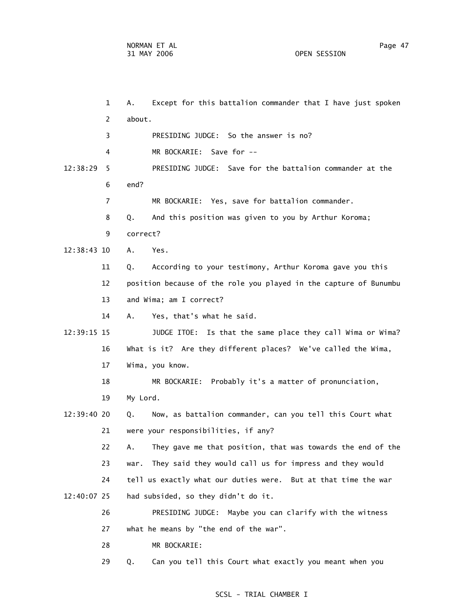1 A. Except for this battalion commander that I have just spoken 2 about. 3 PRESIDING JUDGE: So the answer is no? 4 MR BOCKARIE: Save for -- 12:38:29 5 PRESIDING JUDGE: Save for the battalion commander at the 6 end? 7 MR BOCKARIE: Yes, save for battalion commander. 8 Q. And this position was given to you by Arthur Koroma; 9 correct? 12:38:43 10 A. Yes. 11 Q. According to your testimony, Arthur Koroma gave you this 12 position because of the role you played in the capture of Bunumbu 13 and Wima; am I correct? 14 A. Yes, that's what he said. 12:39:15 15 JUDGE ITOE: Is that the same place they call Wima or Wima? 16 What is it? Are they different places? We've called the Wima, 17 Wima, you know. 18 MR BOCKARIE: Probably it's a matter of pronunciation, 19 My Lord. 12:39:40 20 Q. Now, as battalion commander, can you tell this Court what 21 were your responsibilities, if any? 22 A. They gave me that position, that was towards the end of the 23 war. They said they would call us for impress and they would 24 tell us exactly what our duties were. But at that time the war 12:40:07 25 had subsided, so they didn't do it. 26 PRESIDING JUDGE: Maybe you can clarify with the witness 27 what he means by "the end of the war". 28 MR BOCKARIE: 29 Q. Can you tell this Court what exactly you meant when you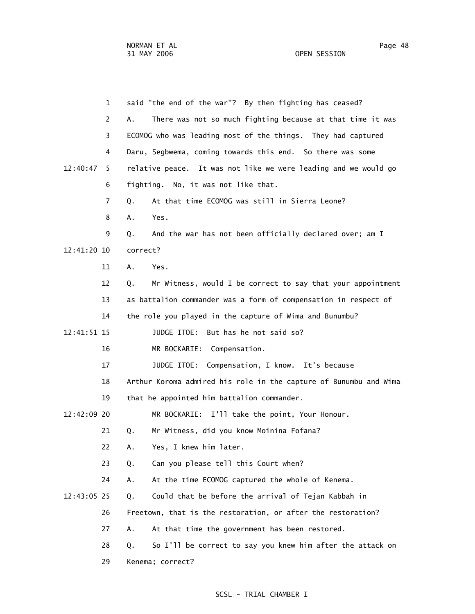1 said "the end of the war"? By then fighting has ceased? 2 A. There was not so much fighting because at that time it was 3 ECOMOG who was leading most of the things. They had captured 4 Daru, Segbwema, coming towards this end. So there was some 12:40:47 5 relative peace. It was not like we were leading and we would go 6 fighting. No, it was not like that. 7 Q. At that time ECOMOG was still in Sierra Leone? 8 A. Yes. 9 Q. And the war has not been officially declared over; am I 12:41:20 10 correct? 11 A. Yes. 12 Q. Mr Witness, would I be correct to say that your appointment 13 as battalion commander was a form of compensation in respect of 14 the role you played in the capture of Wima and Bunumbu? 12:41:51 15 JUDGE ITOE: But has he not said so? 16 MR BOCKARIE: Compensation. 17 JUDGE ITOE: Compensation, I know. It's because 18 Arthur Koroma admired his role in the capture of Bunumbu and Wima 19 that he appointed him battalion commander. 12:42:09 20 MR BOCKARIE: I'll take the point, Your Honour. 21 Q. Mr Witness, did you know Moinina Fofana? 22 A. Yes, I knew him later. 23 Q. Can you please tell this Court when? 24 A. At the time ECOMOG captured the whole of Kenema. 12:43:05 25 Q. Could that be before the arrival of Tejan Kabbah in 26 Freetown, that is the restoration, or after the restoration? 27 A. At that time the government has been restored. 28 Q. So I'll be correct to say you knew him after the attack on 29 Kenema; correct?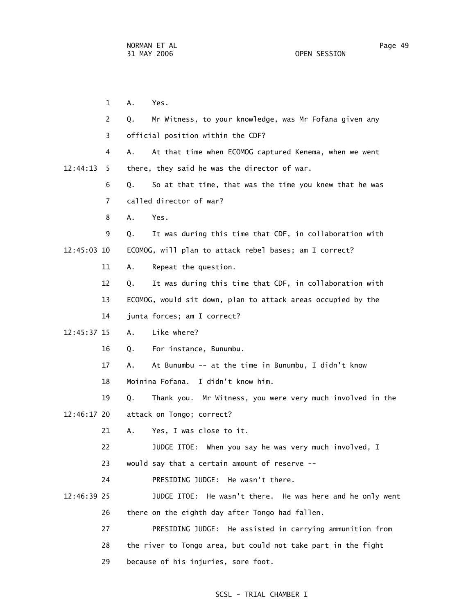1 A. Yes. 2 Q. Mr Witness, to your knowledge, was Mr Fofana given any 3 official position within the CDF? 4 A. At that time when ECOMOG captured Kenema, when we went 12:44:13 5 there, they said he was the director of war. 6 Q. So at that time, that was the time you knew that he was 7 called director of war? 8 A. Yes. 9 Q. It was during this time that CDF, in collaboration with 12:45:03 10 ECOMOG, will plan to attack rebel bases; am I correct? 11 A. Repeat the question. 12 Q. It was during this time that CDF, in collaboration with 13 ECOMOG, would sit down, plan to attack areas occupied by the 14 junta forces; am I correct? 12:45:37 15 A. Like where? 16 Q. For instance, Bunumbu. 17 A. At Bunumbu -- at the time in Bunumbu, I didn't know 18 Moinina Fofana. I didn't know him. 19 Q. Thank you. Mr Witness, you were very much involved in the 12:46:17 20 attack on Tongo; correct? 21 A. Yes, I was close to it. 22 JUDGE ITOE: When you say he was very much involved, I 23 would say that a certain amount of reserve -- 24 PRESIDING JUDGE: He wasn't there. 12:46:39 25 JUDGE ITOE: He wasn't there. He was here and he only went 26 there on the eighth day after Tongo had fallen. 27 PRESIDING JUDGE: He assisted in carrying ammunition from 28 the river to Tongo area, but could not take part in the fight 29 because of his injuries, sore foot.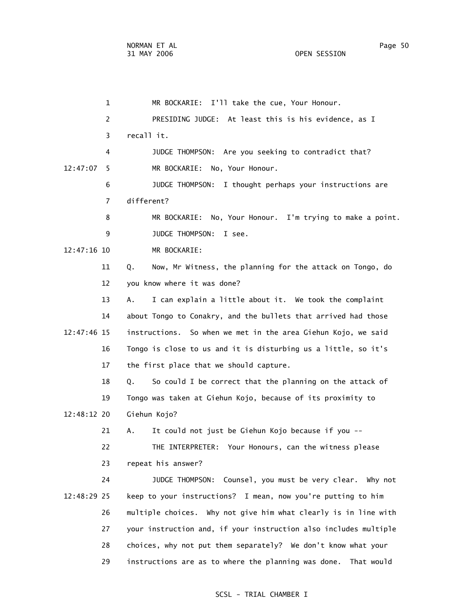1 MR BOCKARIE: I'll take the cue, Your Honour. 2 PRESIDING JUDGE: At least this is his evidence, as I 3 recall it. 4 JUDGE THOMPSON: Are you seeking to contradict that? 12:47:07 5 MR BOCKARIE: No, Your Honour. 6 JUDGE THOMPSON: I thought perhaps your instructions are 7 different? 8 MR BOCKARIE: No, Your Honour. I'm trying to make a point. 9 JUDGE THOMPSON: I see. 12:47:16 10 MR BOCKARIE: 11 Q. Now, Mr Witness, the planning for the attack on Tongo, do 12 you know where it was done? 13 A. I can explain a little about it. We took the complaint 14 about Tongo to Conakry, and the bullets that arrived had those 12:47:46 15 instructions. So when we met in the area Giehun Kojo, we said 16 Tongo is close to us and it is disturbing us a little, so it's 17 the first place that we should capture. 18 Q. So could I be correct that the planning on the attack of 19 Tongo was taken at Giehun Kojo, because of its proximity to 12:48:12 20 Giehun Kojo? 21 A. It could not just be Giehun Kojo because if you -- 22 THE INTERPRETER: Your Honours, can the witness please 23 repeat his answer? 24 JUDGE THOMPSON: Counsel, you must be very clear. Why not 12:48:29 25 keep to your instructions? I mean, now you're putting to him 26 multiple choices. Why not give him what clearly is in line with 27 your instruction and, if your instruction also includes multiple 28 choices, why not put them separately? We don't know what your 29 instructions are as to where the planning was done. That would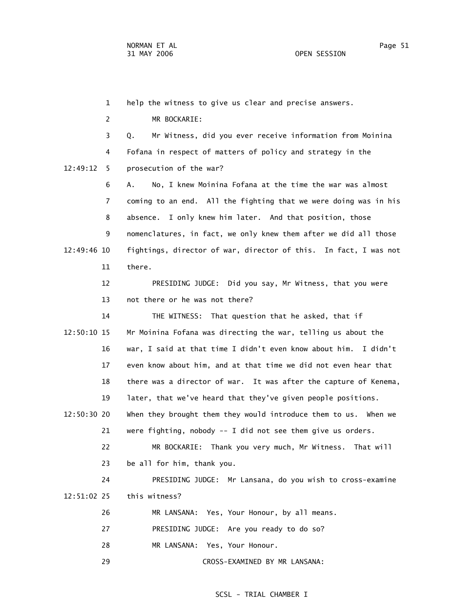1 help the witness to give us clear and precise answers. 2 MR BOCKARIE: 3 Q. Mr Witness, did you ever receive information from Moinina 4 Fofana in respect of matters of policy and strategy in the 12:49:12 5 prosecution of the war? 6 A. No, I knew Moinina Fofana at the time the war was almost 7 coming to an end. All the fighting that we were doing was in his 8 absence. I only knew him later. And that position, those 9 nomenclatures, in fact, we only knew them after we did all those 12:49:46 10 fightings, director of war, director of this. In fact, I was not 11 there. 12 PRESIDING JUDGE: Did you say, Mr Witness, that you were 13 not there or he was not there? 14 THE WITNESS: That question that he asked, that if 12:50:10 15 Mr Moinina Fofana was directing the war, telling us about the 16 war, I said at that time I didn't even know about him. I didn't 17 even know about him, and at that time we did not even hear that 18 there was a director of war. It was after the capture of Kenema, 19 later, that we've heard that they've given people positions. 12:50:30 20 When they brought them they would introduce them to us. When we 21 were fighting, nobody -- I did not see them give us orders. 22 MR BOCKARIE: Thank you very much, Mr Witness. That will 23 be all for him, thank you. 24 PRESIDING JUDGE: Mr Lansana, do you wish to cross-examine 12:51:02 25 this witness? 26 MR LANSANA: Yes, Your Honour, by all means. 27 PRESIDING JUDGE: Are you ready to do so? 28 MR LANSANA: Yes, Your Honour. 29 CROSS-EXAMINED BY MR LANSANA: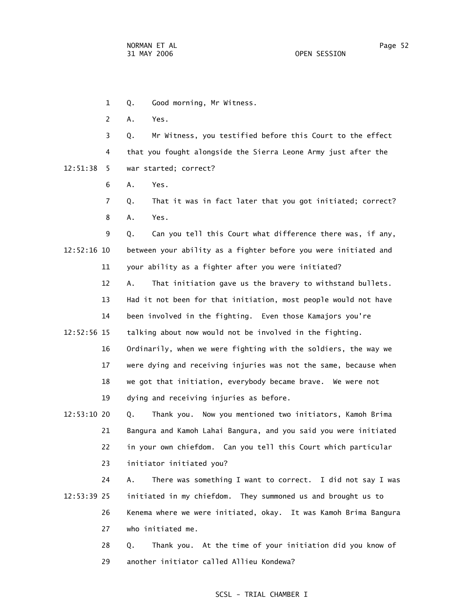1 Q. Good morning, Mr Witness.

2 A. Yes.

 3 Q. Mr Witness, you testified before this Court to the effect 4 that you fought alongside the Sierra Leone Army just after the 12:51:38 5 war started; correct?

6 A. Yes.

 7 Q. That it was in fact later that you got initiated; correct? 8 A. Yes.

 9 Q. Can you tell this Court what difference there was, if any, 12:52:16 10 between your ability as a fighter before you were initiated and 11 your ability as a fighter after you were initiated?

 12 A. That initiation gave us the bravery to withstand bullets. 13 Had it not been for that initiation, most people would not have 14 been involved in the fighting. Even those Kamajors you're 12:52:56 15 talking about now would not be involved in the fighting.

> 16 Ordinarily, when we were fighting with the soldiers, the way we 17 were dying and receiving injuries was not the same, because when 18 we got that initiation, everybody became brave. We were not 19 dying and receiving injuries as before.

 12:53:10 20 Q. Thank you. Now you mentioned two initiators, Kamoh Brima 21 Bangura and Kamoh Lahai Bangura, and you said you were initiated 22 in your own chiefdom. Can you tell this Court which particular 23 initiator initiated you?

 24 A. There was something I want to correct. I did not say I was 12:53:39 25 initiated in my chiefdom. They summoned us and brought us to 26 Kenema where we were initiated, okay. It was Kamoh Brima Bangura 27 who initiated me.

> 28 Q. Thank you. At the time of your initiation did you know of 29 another initiator called Allieu Kondewa?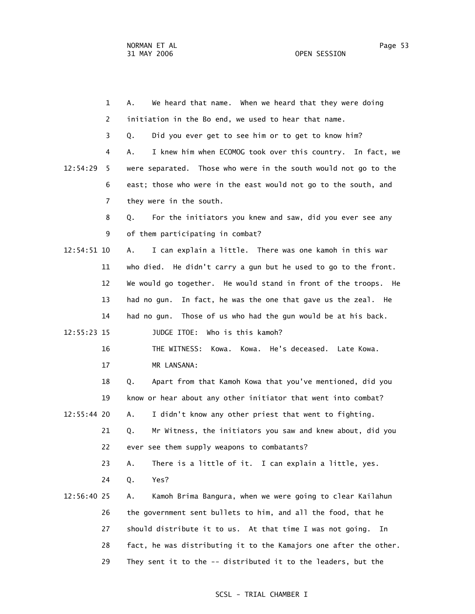1 A. We heard that name. When we heard that they were doing 2 initiation in the Bo end, we used to hear that name. 3 Q. Did you ever get to see him or to get to know him? 4 A. I knew him when ECOMOG took over this country. In fact, we 12:54:29 5 were separated. Those who were in the south would not go to the 6 east; those who were in the east would not go to the south, and 7 they were in the south. 8 Q. For the initiators you knew and saw, did you ever see any 9 of them participating in combat? 12:54:51 10 A. I can explain a little. There was one kamoh in this war 11 who died. He didn't carry a gun but he used to go to the front. 12 We would go together. He would stand in front of the troops. He 13 had no gun. In fact, he was the one that gave us the zeal. He 14 had no gun. Those of us who had the gun would be at his back. 12:55:23 15 JUDGE ITOE: Who is this kamoh? 16 THE WITNESS: Kowa. Kowa. He's deceased. Late Kowa. 17 MR LANSANA: 18 Q. Apart from that Kamoh Kowa that you've mentioned, did you 19 know or hear about any other initiator that went into combat? 12:55:44 20 A. I didn't know any other priest that went to fighting. 21 Q. Mr Witness, the initiators you saw and knew about, did you 22 ever see them supply weapons to combatants? 23 A. There is a little of it. I can explain a little, yes. 24 Q. Yes? 12:56:40 25 A. Kamoh Brima Bangura, when we were going to clear Kailahun 26 the government sent bullets to him, and all the food, that he 27 should distribute it to us. At that time I was not going. In 28 fact, he was distributing it to the Kamajors one after the other. 29 They sent it to the -- distributed it to the leaders, but the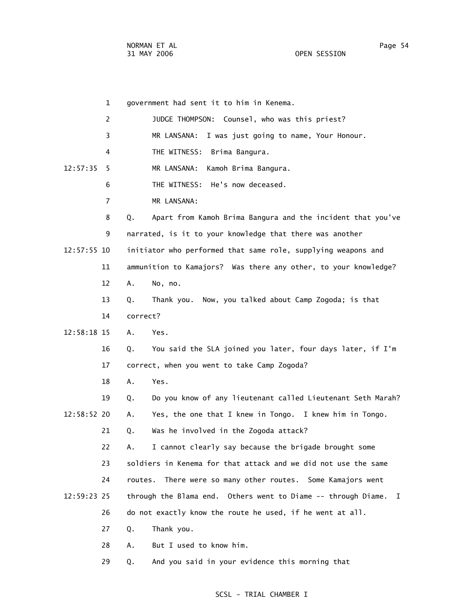1 government had sent it to him in Kenema. 2 JUDGE THOMPSON: Counsel, who was this priest? 3 MR LANSANA: I was just going to name, Your Honour. 4 THE WITNESS: Brima Bangura. 12:57:35 5 MR LANSANA: Kamoh Brima Bangura. 6 THE WITNESS: He's now deceased. 7 MR LANSANA: 8 Q. Apart from Kamoh Brima Bangura and the incident that you've 9 narrated, is it to your knowledge that there was another 12:57:55 10 initiator who performed that same role, supplying weapons and 11 ammunition to Kamajors? Was there any other, to your knowledge? 12 A. No, no. 13 Q. Thank you. Now, you talked about Camp Zogoda; is that 14 correct? 12:58:18 15 A. Yes. 16 Q. You said the SLA joined you later, four days later, if I'm 17 correct, when you went to take Camp Zogoda? 18 A. Yes. 19 Q. Do you know of any lieutenant called Lieutenant Seth Marah? 12:58:52 20 A. Yes, the one that I knew in Tongo. I knew him in Tongo. 21 Q. Was he involved in the Zogoda attack? 22 A. I cannot clearly say because the brigade brought some 23 soldiers in Kenema for that attack and we did not use the same 24 routes. There were so many other routes. Some Kamajors went 12:59:23 25 through the Blama end. Others went to Diame -- through Diame. I 26 do not exactly know the route he used, if he went at all. 27 Q. Thank you. 28 A. But I used to know him. 29 Q. And you said in your evidence this morning that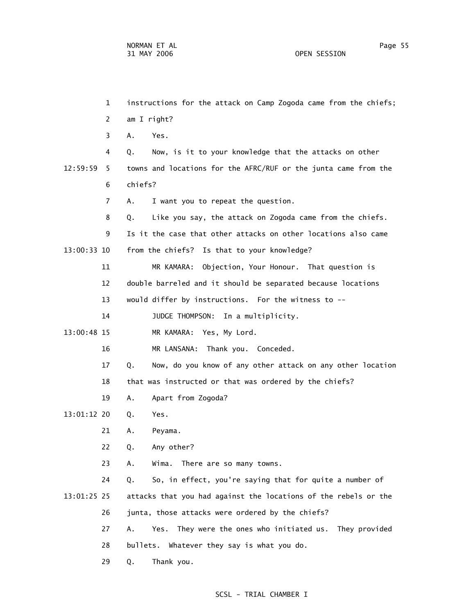|          | 1              | instructions for the attack on Camp Zogoda came from the chiefs; |
|----------|----------------|------------------------------------------------------------------|
|          | $\overline{2}$ | am I right?                                                      |
|          | 3              | Yes.<br>А.                                                       |
|          | 4              | Now, is it to your knowledge that the attacks on other<br>Q.     |
| 12:59:59 | 5.             | towns and locations for the AFRC/RUF or the junta came from the  |
|          | 6              | chiefs?                                                          |
|          | $\overline{7}$ | I want you to repeat the question.<br>Α.                         |
|          | 8              | Like you say, the attack on Zogoda came from the chiefs.<br>Q.   |
|          | 9              | Is it the case that other attacks on other locations also came   |
|          | 13:00:33 10    | from the chiefs? Is that to your knowledge?                      |
|          | 11             | MR KAMARA:<br>Objection, Your Honour. That question is           |
|          | 12             | double barreled and it should be separated because locations     |
|          | 13             | would differ by instructions. For the witness to --              |
|          | 14             | JUDGE THOMPSON:<br>In a multiplicity.                            |
|          | 13:00:48 15    | MR KAMARA: Yes, My Lord.                                         |
|          | 16             | MR LANSANA: Thank you. Conceded.                                 |
|          | 17             | Now, do you know of any other attack on any other location<br>Q. |
|          | 18             | that was instructed or that was ordered by the chiefs?           |
|          | 19             | Apart from Zogoda?<br>Α.                                         |
|          | 13:01:12 20    | Yes.<br>Q.                                                       |
|          | 21             | Α.<br>Peyama.                                                    |
|          | 22             | Q.<br>Any other?                                                 |
|          | 23             | А.<br>Wima.<br>There are so many towns.                          |
|          | 24             | So, in effect, you're saying that for quite a number of<br>Q.    |
|          | 13:01:25 25    | attacks that you had against the locations of the rebels or the  |
|          | 26             | junta, those attacks were ordered by the chiefs?                 |
|          | 27             | Yes. They were the ones who initiated us. They provided<br>А.    |
|          | 28             | bullets. Whatever they say is what you do.                       |
|          | 29             | Q.<br>Thank you.                                                 |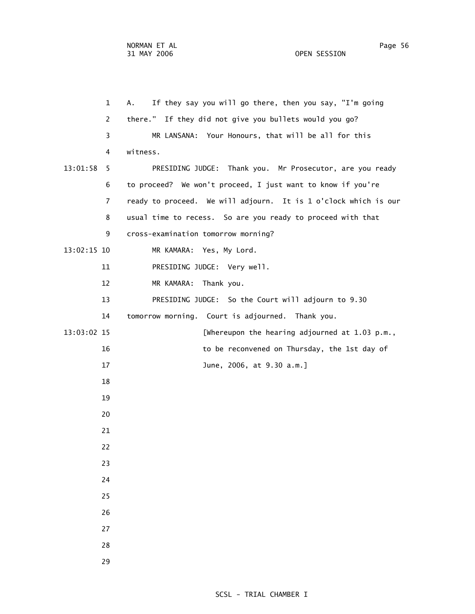1 A. If they say you will go there, then you say, "I'm going 2 there." If they did not give you bullets would you go? 3 MR LANSANA: Your Honours, that will be all for this 4 witness. 13:01:58 5 PRESIDING JUDGE: Thank you. Mr Prosecutor, are you ready 6 to proceed? We won't proceed, I just want to know if you're 7 ready to proceed. We will adjourn. It is 1 o'clock which is our 8 usual time to recess. So are you ready to proceed with that 9 cross-examination tomorrow morning? 13:02:15 10 MR KAMARA: Yes, My Lord. 11 PRESIDING JUDGE: Very well. 12 MR KAMARA: Thank you. 13 PRESIDING JUDGE: So the Court will adjourn to 9.30 14 tomorrow morning. Court is adjourned. Thank you. 13:03:02 15 [Whereupon the hearing adjourned at 1.03 p.m., 16 to be reconvened on Thursday, the 1st day of 17 June, 2006, at 9.30 a.m.] 18 19 20 21 22 23 24 25 26 27 28 29